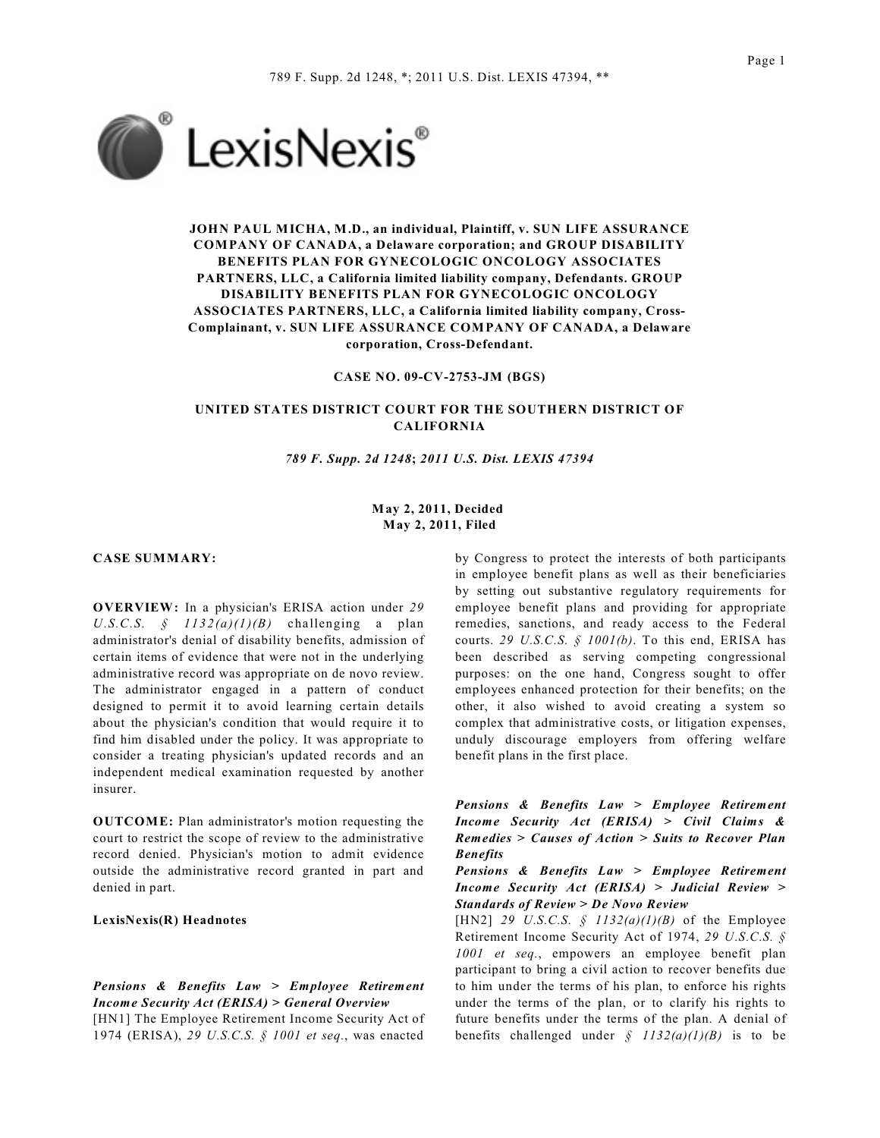

**JOHN PAUL MICHA, M.D., an individual, Plaintiff, v. SUN LIFE ASSURANCE COMPANY OF CANADA, a Delaware corporation; and GROUP DISABILITY BENEFITS PLAN FOR GYNECOLOGIC ONCOLOGY ASSOCIATES PARTNERS, LLC, a California limited liability company, Defendants. GROUP DISABILITY BENEFITS PLAN FOR GYNECOLOGIC ONCOLOGY ASSOCIATES PARTNERS, LLC, a California limited liability company, Cross-Complainant, v. SUN LIFE ASSURANCE COMPANY OF CANADA, a Delaware corporation, Cross-Defendant.**

**CASE NO. 09-CV-2753-JM (BGS)**

## **UNITED STATES DISTRICT COURT FOR THE SOUTHERN DISTRICT OF CALIFORNIA**

*789 F. Supp. 2d 1248***;** *2011 U.S. Dist. LEXIS 47394*

## **May 2, 2011, Decided May 2, 2011, Filed**

#### **CASE SUMMARY:**

**OVERVIEW:** In a physician's ERISA action under *29* U.S.C.S.  $\oint$  1132(a)(1)(B) challenging a plan administrator's denial of disability benefits, admission of certain items of evidence that were not in the underlying administrative record was appropriate on de novo review. The administrator engaged in a pattern of conduct designed to permit it to avoid learning certain details about the physician's condition that would require it to find him disabled under the policy. It was appropriate to consider a treating physician's updated records and an independent medical examination requested by another insurer.

**OUTCOME:** Plan administrator's motion requesting the court to restrict the scope of review to the administrative record denied. Physician's motion to admit evidence outside the administrative record granted in part and denied in part.

**LexisNexis(R) Headnotes**

# *Pensions & Benefits Law > Employee Retirement Income Security Act (ERISA) > General Overview*

[HN1] The Employee Retirement Income Security Act of 1974 (ERISA), *29 U.S.C.S. § 1001 et seq.*, was enacted

by Congress to protect the interests of both participants in employee benefit plans as well as their beneficiaries by setting out substantive regulatory requirements for employee benefit plans and providing for appropriate remedies, sanctions, and ready access to the Federal courts. *29 U.S.C.S. § 1001(b)*. To this end, ERISA has been described as serving competing congressional purposes: on the one hand, Congress sought to offer employees enhanced protection for their benefits; on the other, it also wished to avoid creating a system so complex that administrative costs, or litigation expenses, unduly discourage employers from offering welfare benefit plans in the first place.

*Pensions & Benefits Law > Employee Retirement Income Security Act (ERISA) > Civil Claims & Remedies > Causes of Action > Suits to Recover Plan Benefits*

*Pensions & Benefits Law > Employee Retirement Income Security Act (ERISA) > Judicial Review > Standards of Review > De Novo Review*

[HN2] *29 U.S.C.S. § 1132(a)(1)(B)* of the Employee Retirement Income Security Act of 1974, *29 U.S.C.S. § 1001 et seq.*, empowers an employee benefit plan participant to bring a civil action to recover benefits due to him under the terms of his plan, to enforce his rights under the terms of the plan, or to clarify his rights to future benefits under the terms of the plan. A denial of benefits challenged under  $\oint$  1132(a)(1)(B) is to be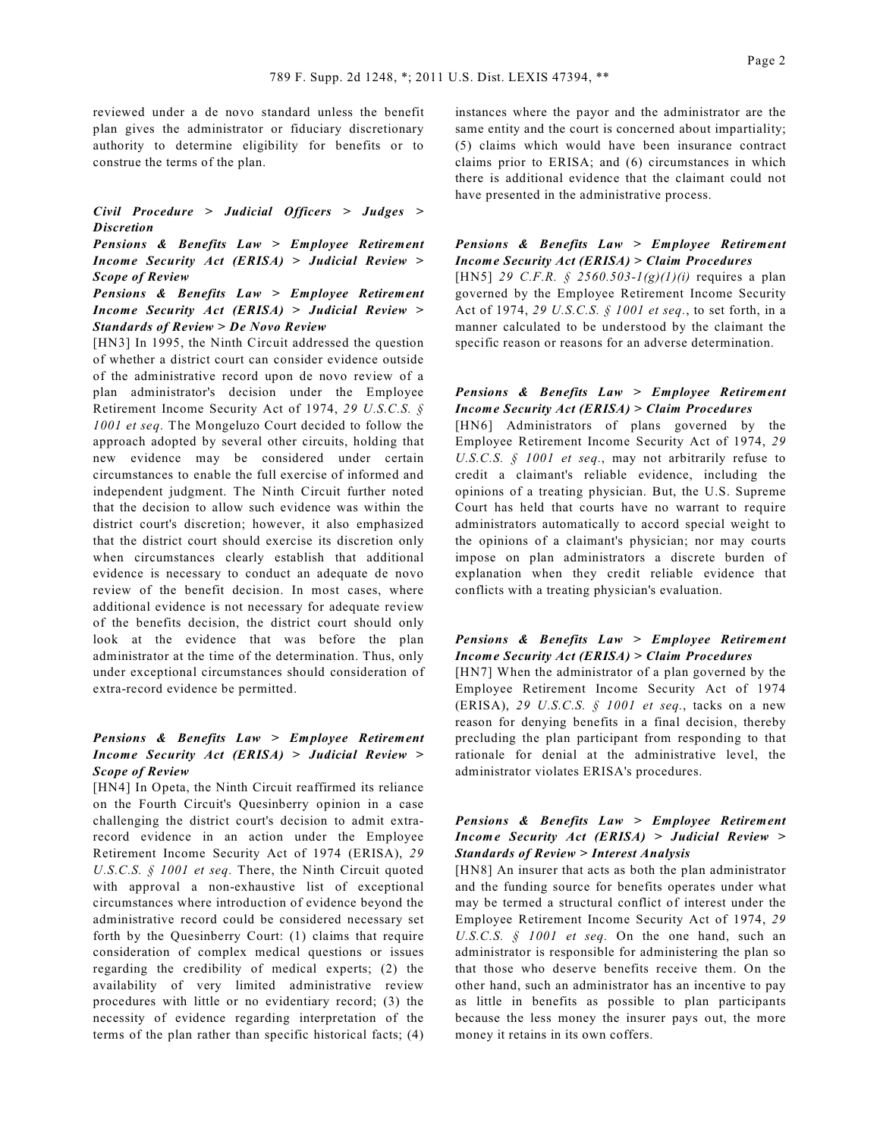reviewed under a de novo standard unless the benefit plan gives the administrator or fiduciary discretionary authority to determine eligibility for benefits or to construe the terms of the plan.

*Civil Procedure > Judicial Officers > Judges > Discretion*

*Pensions & Benefits Law > Employee Retirement Income Security Act (ERISA) > Judicial Review > Scope of Review*

*Pensions & Benefits Law > Employee Retirement Income Security Act (ERISA) > Judicial Review > Standards of Review > De Novo Review*

[HN3] In 1995, the Ninth Circuit addressed the question of whether a district court can consider evidence outside of the administrative record upon de novo review of a plan administrator's decision under the Employee Retirement Income Security Act of 1974, *29 U.S.C.S. § 1001 et seq.* The Mongeluzo Court decided to follow the approach adopted by several other circuits, holding that new evidence may be considered under certain circumstances to enable the full exercise of informed and independent judgment. The Ninth Circuit further noted that the decision to allow such evidence was within the district court's discretion; however, it also emphasized that the district court should exercise its discretion only when circumstances clearly establish that additional evidence is necessary to conduct an adequate de novo review of the benefit decision. In most cases, where additional evidence is not necessary for adequate review of the benefits decision, the district court should only look at the evidence that was before the plan administrator at the time of the determination. Thus, only under exceptional circumstances should consideration of extra-record evidence be permitted.

## *Pensions & Benefits Law > Employee Retirement Income Security Act (ERISA) > Judicial Review > Scope of Review*

[HN4] In Opeta, the Ninth Circuit reaffirmed its reliance on the Fourth Circuit's Quesinberry opinion in a case challenging the district court's decision to admit extrarecord evidence in an action under the Employee Retirement Income Security Act of 1974 (ERISA), *29 U.S.C.S. § 1001 et seq.* There, the Ninth Circuit quoted with approval a non-exhaustive list of exceptional circumstances where introduction of evidence beyond the administrative record could be considered necessary set forth by the Quesinberry Court: (1) claims that require consideration of complex medical questions or issues regarding the credibility of medical experts; (2) the availability of very limited administrative review procedures with little or no evidentiary record; (3) the necessity of evidence regarding interpretation of the terms of the plan rather than specific historical facts; (4) instances where the payor and the administrator are the same entity and the court is concerned about impartiality; (5) claims which would have been insurance contract claims prior to ERISA; and (6) circumstances in which there is additional evidence that the claimant could not have presented in the administrative process.

## *Pensions & Benefits Law > Employee Retirement Income Security Act (ERISA) > Claim Procedures*

[HN5] *29 C.F.R. § 2560.503-1(g)(1)(i)* requires a plan governed by the Employee Retirement Income Security Act of 1974, *29 U.S.C.S. § 1001 et seq.*, to set forth, in a manner calculated to be understood by the claimant the specific reason or reasons for an adverse determination.

### *Pensions & Benefits Law > Employee Retirement Income Security Act (ERISA) > Claim Procedures*

[HN6] Administrators of plans governed by the Employee Retirement Income Security Act of 1974, *29 U.S.C.S. § 1001 et seq.*, may not arbitrarily refuse to credit a claimant's reliable evidence, including the opinions of a treating physician. But, the U.S. Supreme Court has held that courts have no warrant to require administrators automatically to accord special weight to the opinions of a claimant's physician; nor may courts impose on plan administrators a discrete burden of explanation when they credit reliable evidence that conflicts with a treating physician's evaluation.

### *Pensions & Benefits Law > Employee Retirement Income Security Act (ERISA) > Claim Procedures*

[HN7] When the administrator of a plan governed by the Employee Retirement Income Security Act of 1974 (ERISA), *29 U.S.C.S. § 1001 et seq.*, tacks on a new reason for denying benefits in a final decision, thereby precluding the plan participant from responding to that rationale for denial at the administrative level, the administrator violates ERISA's procedures.

## *Pensions & Benefits Law > Employee Retirement Income Security Act (ERISA) > Judicial Review > Standards of Review > Interest Analysis*

[HN8] An insurer that acts as both the plan administrator and the funding source for benefits operates under what may be termed a structural conflict of interest under the Employee Retirement Income Security Act of 1974, *29 U.S.C.S. § 1001 et seq.* On the one hand, such an administrator is responsible for administering the plan so that those who deserve benefits receive them. On the other hand, such an administrator has an incentive to pay as little in benefits as possible to plan participants because the less money the insurer pays out, the more money it retains in its own coffers.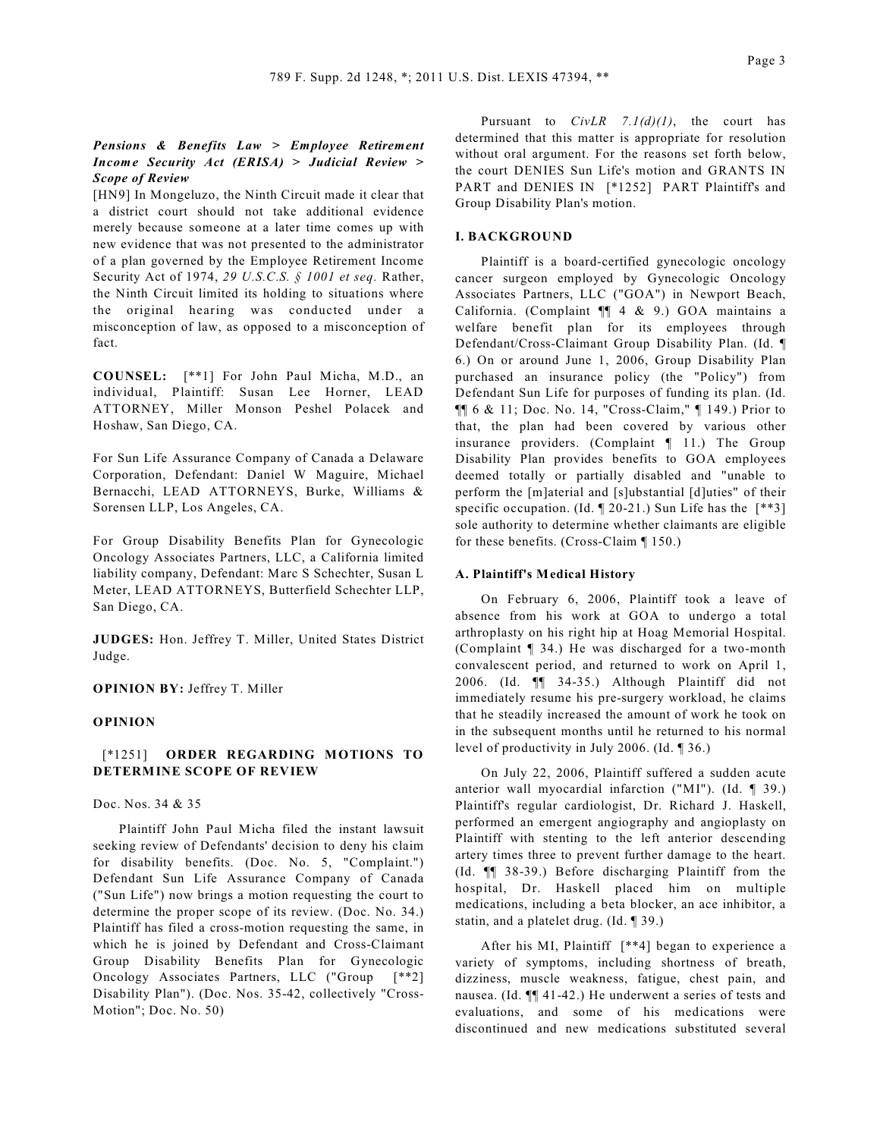## *Pensions & Benefits Law > Employee Retirement Income Security Act (ERISA) > Judicial Review > Scope of Review*

[HN9] In Mongeluzo, the Ninth Circuit made it clear that a district court should not take additional evidence merely because someone at a later time comes up with new evidence that was not presented to the administrator of a plan governed by the Employee Retirement Income Security Act of 1974, *29 U.S.C.S. § 1001 et seq.* Rather, the Ninth Circuit limited its holding to situations where the original hearing was conducted under a misconception of law, as opposed to a misconception of fact.

**COUNSEL:** [\*\*1] For John Paul Micha, M.D., an individual, Plaintiff: Susan Lee Horner, LEAD ATTORNEY, Miller Monson Peshel Polacek and Hoshaw, San Diego, CA.

For Sun Life Assurance Company of Canada a Delaware Corporation, Defendant: Daniel W Maguire, Michael Bernacchi, LEAD ATTORNEYS, Burke, Williams & Sorensen LLP, Los Angeles, CA.

For Group Disability Benefits Plan for Gynecologic Oncology Associates Partners, LLC, a California limited liability company, Defendant: Marc S Schechter, Susan L Meter, LEAD ATTORNEYS, Butterfield Schechter LLP, San Diego, CA.

**JUDGES:** Hon. Jeffrey T. Miller, United States District Judge.

**OPINION BY:** Jeffrey T. Miller

### **OPINION**

## [\*1251] **ORDER REGARDING MOTIONS TO DETERMINE SCOPE OF REVIEW**

Doc. Nos. 34 & 35

Plaintiff John Paul Micha filed the instant lawsuit seeking review of Defendants' decision to deny his claim for disability benefits. (Doc. No. 5, "Complaint.") Defendant Sun Life Assurance Company of Canada ("Sun Life") now brings a motion requesting the court to determine the proper scope of its review. (Doc. No. 34.) Plaintiff has filed a cross-motion requesting the same, in which he is joined by Defendant and Cross-Claimant Group Disability Benefits Plan for Gynecologic Oncology Associates Partners, LLC ("Group [\*\*2] Disability Plan"). (Doc. Nos. 35-42, collectively "Cross-Motion"; Doc. No. 50)

Pursuant to *CivLR 7.1(d)(1)*, the court has determined that this matter is appropriate for resolution without oral argument. For the reasons set forth below, the court DENIES Sun Life's motion and GRANTS IN PART and DENIES IN [\*1252] PART Plaintiff's and Group Disability Plan's motion.

## **I. BACKGROUND**

Plaintiff is a board-certified gynecologic oncology cancer surgeon employed by Gynecologic Oncology Associates Partners, LLC ("GOA") in Newport Beach, California. (Complaint ¶¶ 4 & 9.) GOA maintains a welfare benefit plan for its employees through Defendant/Cross-Claimant Group Disability Plan. (Id. ¶ 6.) On or around June 1, 2006, Group Disability Plan purchased an insurance policy (the "Policy") from Defendant Sun Life for purposes of funding its plan. (Id. ¶¶ 6 & 11; Doc. No. 14, "Cross-Claim," ¶ 149.) Prior to that, the plan had been covered by various other insurance providers. (Complaint ¶ 11.) The Group Disability Plan provides benefits to GOA employees deemed totally or partially disabled and "unable to perform the [m]aterial and [s]ubstantial [d]uties" of their specific occupation. (Id.  $\sqrt{20-21}$ .) Sun Life has the  $\sqrt{3}$ ] sole authority to determine whether claimants are eligible for these benefits. (Cross-Claim ¶ 150.)

## **A. Plaintiff's Medical History**

On February 6, 2006, Plaintiff took a leave of absence from his work at GOA to undergo a total arthroplasty on his right hip at Hoag Memorial Hospital. (Complaint ¶ 34.) He was discharged for a two-month convalescent period, and returned to work on April 1, 2006. (Id. ¶¶ 34-35.) Although Plaintiff did not immediately resume his pre-surgery workload, he claims that he steadily increased the amount of work he took on in the subsequent months until he returned to his normal level of productivity in July 2006. (Id. ¶ 36.)

On July 22, 2006, Plaintiff suffered a sudden acute anterior wall myocardial infarction ("MI"). (Id. ¶ 39.) Plaintiff's regular cardiologist, Dr. Richard J. Haskell, performed an emergent angiography and angioplasty on Plaintiff with stenting to the left anterior descending artery times three to prevent further damage to the heart. (Id. ¶¶ 38-39.) Before discharging Plaintiff from the hospital, Dr. Haskell placed him on multiple medications, including a beta blocker, an ace inhibitor, a statin, and a platelet drug. (Id. ¶ 39.)

After his MI, Plaintiff [\*\*4] began to experience a variety of symptoms, including shortness of breath, dizziness, muscle weakness, fatigue, chest pain, and nausea. (Id. ¶¶ 41-42.) He underwent a series of tests and evaluations, and some of his medications were discontinued and new medications substituted several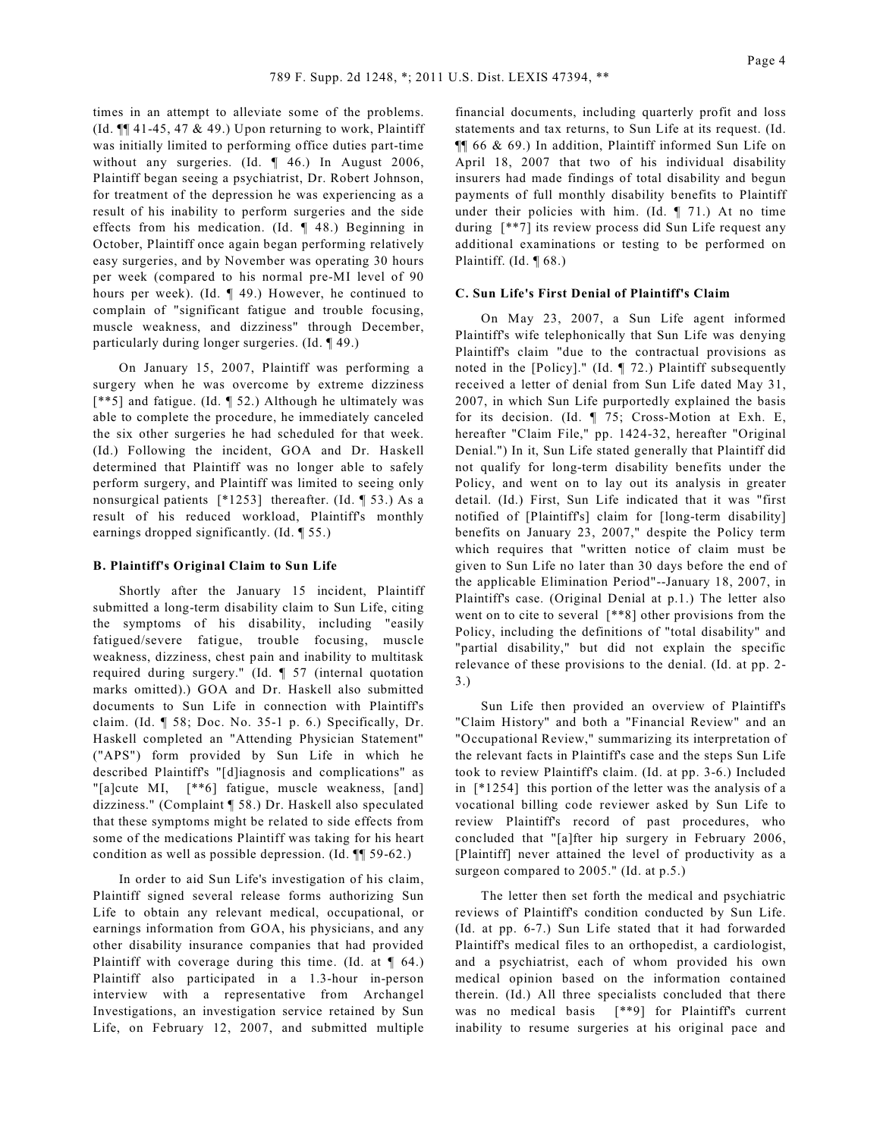times in an attempt to alleviate some of the problems. (Id.  $\P$  41-45, 47 & 49.) Upon returning to work, Plaintiff was initially limited to performing office duties part-time without any surgeries. (Id. ¶ 46.) In August 2006, Plaintiff began seeing a psychiatrist, Dr. Robert Johnson, for treatment of the depression he was experiencing as a result of his inability to perform surgeries and the side effects from his medication. (Id. ¶ 48.) Beginning in October, Plaintiff once again began performing relatively easy surgeries, and by November was operating 30 hours per week (compared to his normal pre-MI level of 90 hours per week). (Id. ¶ 49.) However, he continued to complain of "significant fatigue and trouble focusing, muscle weakness, and dizziness" through December, particularly during longer surgeries. (Id. ¶ 49.)

On January 15, 2007, Plaintiff was performing a surgery when he was overcome by extreme dizziness [\*\*5] and fatigue. (Id. ¶ 52.) Although he ultimately was able to complete the procedure, he immediately canceled the six other surgeries he had scheduled for that week. (Id.) Following the incident, GOA and Dr. Haskell determined that Plaintiff was no longer able to safely perform surgery, and Plaintiff was limited to seeing only nonsurgical patients [\*1253] thereafter. (Id. ¶ 53.) As a result of his reduced workload, Plaintiff's monthly earnings dropped significantly. (Id. ¶ 55.)

#### **B. Plaintiff's Original Claim to Sun Life**

Shortly after the January 15 incident, Plaintiff submitted a long-term disability claim to Sun Life, citing the symptoms of his disability, including "easily fatigued/severe fatigue, trouble focusing, muscle weakness, dizziness, chest pain and inability to multitask required during surgery." (Id. ¶ 57 (internal quotation marks omitted).) GOA and Dr. Haskell also submitted documents to Sun Life in connection with Plaintiff's claim. (Id. ¶ 58; Doc. No. 35-1 p. 6.) Specifically, Dr. Haskell completed an "Attending Physician Statement" ("APS") form provided by Sun Life in which he described Plaintiff's "[d]iagnosis and complications" as "[a]cute MI, [\*\*6] fatigue, muscle weakness, [and] dizziness." (Complaint ¶ 58.) Dr. Haskell also speculated that these symptoms might be related to side effects from some of the medications Plaintiff was taking for his heart condition as well as possible depression. (Id. ¶¶ 59-62.)

In order to aid Sun Life's investigation of his claim, Plaintiff signed several release forms authorizing Sun Life to obtain any relevant medical, occupational, or earnings information from GOA, his physicians, and any other disability insurance companies that had provided Plaintiff with coverage during this time. (Id. at  $\P$  64.) Plaintiff also participated in a 1.3-hour in-person interview with a representative from Archangel Investigations, an investigation service retained by Sun Life, on February 12, 2007, and submitted multiple financial documents, including quarterly profit and loss statements and tax returns, to Sun Life at its request. (Id. ¶¶ 66 & 69.) In addition, Plaintiff informed Sun Life on April 18, 2007 that two of his individual disability insurers had made findings of total disability and begun payments of full monthly disability benefits to Plaintiff under their policies with him. (Id.  $\P$  71.) At no time during [\*\*7] its review process did Sun Life request any additional examinations or testing to be performed on Plaintiff. (Id. ¶ 68.)

### **C. Sun Life's First Denial of Plaintiff's Claim**

On May 23, 2007, a Sun Life agent informed Plaintiff's wife telephonically that Sun Life was denying Plaintiff's claim "due to the contractual provisions as noted in the [Policy]." (Id. ¶ 72.) Plaintiff subsequently received a letter of denial from Sun Life dated May 31, 2007, in which Sun Life purportedly explained the basis for its decision. (Id. ¶ 75; Cross-Motion at Exh. E, hereafter "Claim File," pp. 1424-32, hereafter "Original Denial.") In it, Sun Life stated generally that Plaintiff did not qualify for long-term disability benefits under the Policy, and went on to lay out its analysis in greater detail. (Id.) First, Sun Life indicated that it was "first notified of [Plaintiff's] claim for [long-term disability] benefits on January 23, 2007," despite the Policy term which requires that "written notice of claim must be given to Sun Life no later than 30 days before the end of the applicable Elimination Period"--January 18, 2007, in Plaintiff's case. (Original Denial at p.1.) The letter also went on to cite to several [\*\*8] other provisions from the Policy, including the definitions of "total disability" and "partial disability," but did not explain the specific relevance of these provisions to the denial. (Id. at pp. 2- 3.)

Sun Life then provided an overview of Plaintiff's "Claim History" and both a "Financial Review" and an "Occupational Review," summarizing its interpretation of the relevant facts in Plaintiff's case and the steps Sun Life took to review Plaintiff's claim. (Id. at pp. 3-6.) Included in [\*1254] this portion of the letter was the analysis of a vocational billing code reviewer asked by Sun Life to review Plaintiff's record of past procedures, who concluded that "[a]fter hip surgery in February 2006, [Plaintiff] never attained the level of productivity as a surgeon compared to 2005." (Id. at p.5.)

The letter then set forth the medical and psychiatric reviews of Plaintiff's condition conducted by Sun Life. (Id. at pp. 6-7.) Sun Life stated that it had forwarded Plaintiff's medical files to an orthopedist, a cardiologist, and a psychiatrist, each of whom provided his own medical opinion based on the information contained therein. (Id.) All three specialists concluded that there was no medical basis [\*\*9] for Plaintiff's current inability to resume surgeries at his original pace and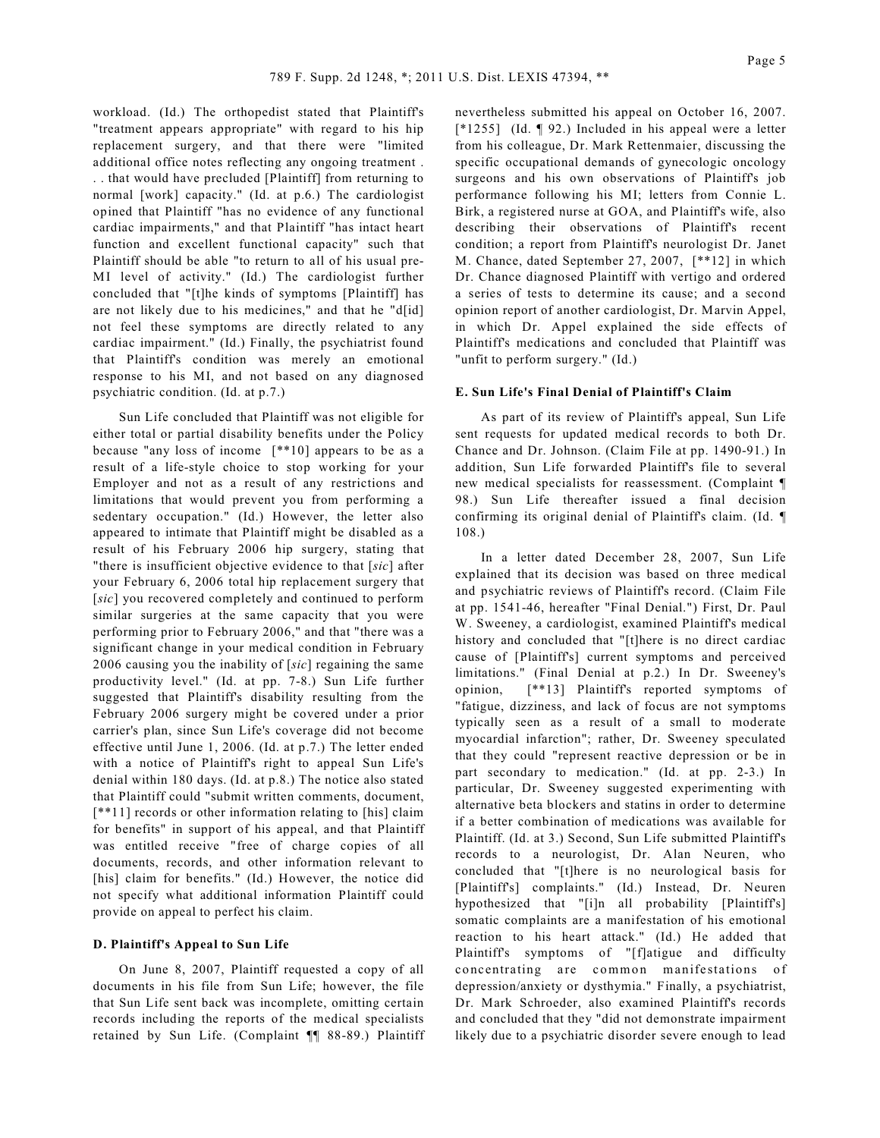workload. (Id.) The orthopedist stated that Plaintiff's "treatment appears appropriate" with regard to his hip replacement surgery, and that there were "limited additional office notes reflecting any ongoing treatment . . . that would have precluded [Plaintiff] from returning to normal [work] capacity." (Id. at p.6.) The cardiologist opined that Plaintiff "has no evidence of any functional cardiac impairments," and that Plaintiff "has intact heart function and excellent functional capacity" such that Plaintiff should be able "to return to all of his usual pre-MI level of activity." (Id.) The cardiologist further concluded that "[t]he kinds of symptoms [Plaintiff] has are not likely due to his medicines," and that he "d[id] not feel these symptoms are directly related to any cardiac impairment." (Id.) Finally, the psychiatrist found that Plaintiff's condition was merely an emotional response to his MI, and not based on any diagnosed psychiatric condition. (Id. at p.7.)

Sun Life concluded that Plaintiff was not eligible for either total or partial disability benefits under the Policy because "any loss of income [\*\*10] appears to be as a result of a life-style choice to stop working for your Employer and not as a result of any restrictions and limitations that would prevent you from performing a sedentary occupation." (Id.) However, the letter also appeared to intimate that Plaintiff might be disabled as a result of his February 2006 hip surgery, stating that "there is insufficient objective evidence to that [*sic*] after your February 6, 2006 total hip replacement surgery that [sic] you recovered completely and continued to perform similar surgeries at the same capacity that you were performing prior to February 2006," and that "there was a significant change in your medical condition in February 2006 causing you the inability of [*sic*] regaining the same productivity level." (Id. at pp. 7-8.) Sun Life further suggested that Plaintiff's disability resulting from the February 2006 surgery might be covered under a prior carrier's plan, since Sun Life's coverage did not become effective until June 1, 2006. (Id. at p.7.) The letter ended with a notice of Plaintiff's right to appeal Sun Life's denial within 180 days. (Id. at p.8.) The notice also stated that Plaintiff could "submit written comments, document, [\*\*11] records or other information relating to [his] claim for benefits" in support of his appeal, and that Plaintiff was entitled receive "free of charge copies of all documents, records, and other information relevant to [his] claim for benefits." (Id.) However, the notice did not specify what additional information Plaintiff could provide on appeal to perfect his claim.

#### **D. Plaintiff's Appeal to Sun Life**

On June 8, 2007, Plaintiff requested a copy of all documents in his file from Sun Life; however, the file that Sun Life sent back was incomplete, omitting certain records including the reports of the medical specialists retained by Sun Life. (Complaint ¶¶ 88-89.) Plaintiff nevertheless submitted his appeal on October 16, 2007. [\*1255] (Id. ¶ 92.) Included in his appeal were a letter from his colleague, Dr. Mark Rettenmaier, discussing the specific occupational demands of gynecologic oncology surgeons and his own observations of Plaintiff's job performance following his MI; letters from Connie L. Birk, a registered nurse at GOA, and Plaintiff's wife, also describing their observations of Plaintiff's recent condition; a report from Plaintiff's neurologist Dr. Janet M. Chance, dated September 27, 2007, [\*\*12] in which Dr. Chance diagnosed Plaintiff with vertigo and ordered a series of tests to determine its cause; and a second opinion report of another cardiologist, Dr. Marvin Appel, in which Dr. Appel explained the side effects of Plaintiff's medications and concluded that Plaintiff was "unfit to perform surgery." (Id.)

#### **E. Sun Life's Final Denial of Plaintiff's Claim**

As part of its review of Plaintiff's appeal, Sun Life sent requests for updated medical records to both Dr. Chance and Dr. Johnson. (Claim File at pp. 1490-91.) In addition, Sun Life forwarded Plaintiff's file to several new medical specialists for reassessment. (Complaint ¶ 98.) Sun Life thereafter issued a final decision confirming its original denial of Plaintiff's claim. (Id. ¶ 108.)

In a letter dated December 28, 2007, Sun Life explained that its decision was based on three medical and psychiatric reviews of Plaintiff's record. (Claim File at pp. 1541-46, hereafter "Final Denial.") First, Dr. Paul W. Sweeney, a cardiologist, examined Plaintiff's medical history and concluded that "[t]here is no direct cardiac cause of [Plaintiff's] current symptoms and perceived limitations." (Final Denial at p.2.) In Dr. Sweeney's opinion, [\*\*13] Plaintiff's reported symptoms of "fatigue, dizziness, and lack of focus are not symptoms typically seen as a result of a small to moderate myocardial infarction"; rather, Dr. Sweeney speculated that they could "represent reactive depression or be in part secondary to medication." (Id. at pp. 2-3.) In particular, Dr. Sweeney suggested experimenting with alternative beta blockers and statins in order to determine if a better combination of medications was available for Plaintiff. (Id. at 3.) Second, Sun Life submitted Plaintiff's records to a neurologist, Dr. Alan Neuren, who concluded that "[t]here is no neurological basis for [Plaintiff's] complaints." (Id.) Instead, Dr. Neuren hypothesized that "[i]n all probability [Plaintiff's] somatic complaints are a manifestation of his emotional reaction to his heart attack." (Id.) He added that Plaintiff's symptoms of "[f]atigue and difficulty concentrating are common manifestations of depression/anxiety or dysthymia." Finally, a psychiatrist, Dr. Mark Schroeder, also examined Plaintiff's records and concluded that they "did not demonstrate impairment likely due to a psychiatric disorder severe enough to lead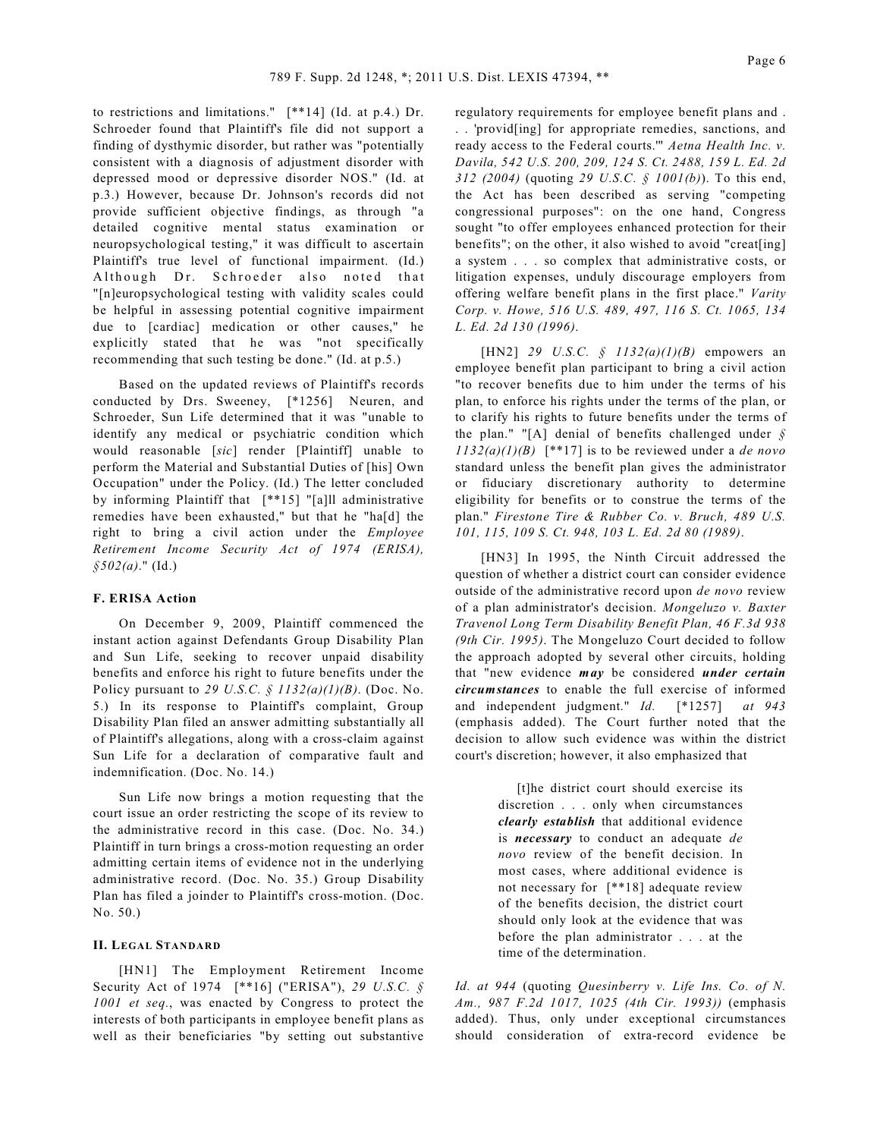to restrictions and limitations." [\*\*14] (Id. at p.4.) Dr. Schroeder found that Plaintiff's file did not support a finding of dysthymic disorder, but rather was "potentially consistent with a diagnosis of adjustment disorder with depressed mood or depressive disorder NOS." (Id. at p.3.) However, because Dr. Johnson's records did not provide sufficient objective findings, as through "a detailed cognitive mental status examination or neuropsychological testing," it was difficult to ascertain Plaintiff's true level of functional impairment. (Id.) Although Dr. Schroeder also noted that "[n]europsychological testing with validity scales could be helpful in assessing potential cognitive impairment due to [cardiac] medication or other causes," he explicitly stated that he was "not specifically recommending that such testing be done." (Id. at p.5.)

Based on the updated reviews of Plaintiff's records conducted by Drs. Sweeney, [\*1256] Neuren, and Schroeder, Sun Life determined that it was "unable to identify any medical or psychiatric condition which would reasonable [*sic*] render [Plaintiff] unable to perform the Material and Substantial Duties of [his] Own Occupation" under the Policy. (Id.) The letter concluded by informing Plaintiff that [\*\*15] "[a]ll administrative remedies have been exhausted," but that he "ha[d] the right to bring a civil action under the *Employee Retirement Income Security Act of 1974 (ERISA), §502(a)*." (Id.)

#### **F. ERISA Action**

On December 9, 2009, Plaintiff commenced the instant action against Defendants Group Disability Plan and Sun Life, seeking to recover unpaid disability benefits and enforce his right to future benefits under the Policy pursuant to *29 U.S.C. § 1132(a)(1)(B)*. (Doc. No. 5.) In its response to Plaintiff's complaint, Group Disability Plan filed an answer admitting substantially all of Plaintiff's allegations, along with a cross-claim against Sun Life for a declaration of comparative fault and indemnification. (Doc. No. 14.)

Sun Life now brings a motion requesting that the court issue an order restricting the scope of its review to the administrative record in this case. (Doc. No. 34.) Plaintiff in turn brings a cross-motion requesting an order admitting certain items of evidence not in the underlying administrative record. (Doc. No. 35.) Group Disability Plan has filed a joinder to Plaintiff's cross-motion. (Doc. No. 50.)

#### **II. LEGAL STANDARD**

[HN1] The Employment Retirement Income Security Act of 1974 [\*\*16] ("ERISA"), *29 U.S.C. § 1001 et seq.*, was enacted by Congress to protect the interests of both participants in employee benefit plans as well as their beneficiaries "by setting out substantive regulatory requirements for employee benefit plans and . . . 'provid[ing] for appropriate remedies, sanctions, and ready access to the Federal courts.'" *Aetna Health Inc. v. Davila, 542 U.S. 200, 209, 124 S. Ct. 2488, 159 L. Ed. 2d 312 (2004)* (quoting *29 U.S.C. § 1001(b)*). To this end, the Act has been described as serving "competing congressional purposes": on the one hand, Congress sought "to offer employees enhanced protection for their benefits"; on the other, it also wished to avoid "creat[ing] a system . . . so complex that administrative costs, or litigation expenses, unduly discourage employers from offering welfare benefit plans in the first place." *Varity Corp. v. Howe, 516 U.S. 489, 497, 116 S. Ct. 1065, 134 L. Ed. 2d 130 (1996)*.

[HN2] *29 U.S.C. § 1132(a)(1)(B)* empowers an employee benefit plan participant to bring a civil action "to recover benefits due to him under the terms of his plan, to enforce his rights under the terms of the plan, or to clarify his rights to future benefits under the terms of the plan." "[A] denial of benefits challenged under *§ 1132(a)(1)(B)* [\*\*17] is to be reviewed under a *de novo* standard unless the benefit plan gives the administrator or fiduciary discretionary authority to determine eligibility for benefits or to construe the terms of the plan." *Firestone Tire & Rubber Co. v. Bruch, 489 U.S. 101, 115, 109 S. Ct. 948, 103 L. Ed. 2d 80 (1989)*.

[HN3] In 1995, the Ninth Circuit addressed the question of whether a district court can consider evidence outside of the administrative record upon *de novo* review of a plan administrator's decision. *Mongeluzo v. Baxter Travenol Long Term Disability Benefit Plan, 46 F.3d 938 (9th Cir. 1995)*. The Mongeluzo Court decided to follow the approach adopted by several other circuits, holding that "new evidence *may* be considered *under certain circumstances* to enable the full exercise of informed and independent judgment." *Id.* [\*1257] *at 943* (emphasis added). The Court further noted that the decision to allow such evidence was within the district court's discretion; however, it also emphasized that

> [t]he district court should exercise its discretion . . . only when circumstances *clearly establish* that additional evidence is *necessary* to conduct an adequate *de novo* review of the benefit decision. In most cases, where additional evidence is not necessary for [\*\*18] adequate review of the benefits decision, the district court should only look at the evidence that was before the plan administrator . . . at the time of the determination.

*Id. at 944* (quoting *Quesinberry v. Life Ins. Co. of N. Am., 987 F.2d 1017, 1025 (4th Cir. 1993))* (emphasis added). Thus, only under exceptional circumstances should consideration of extra-record evidence be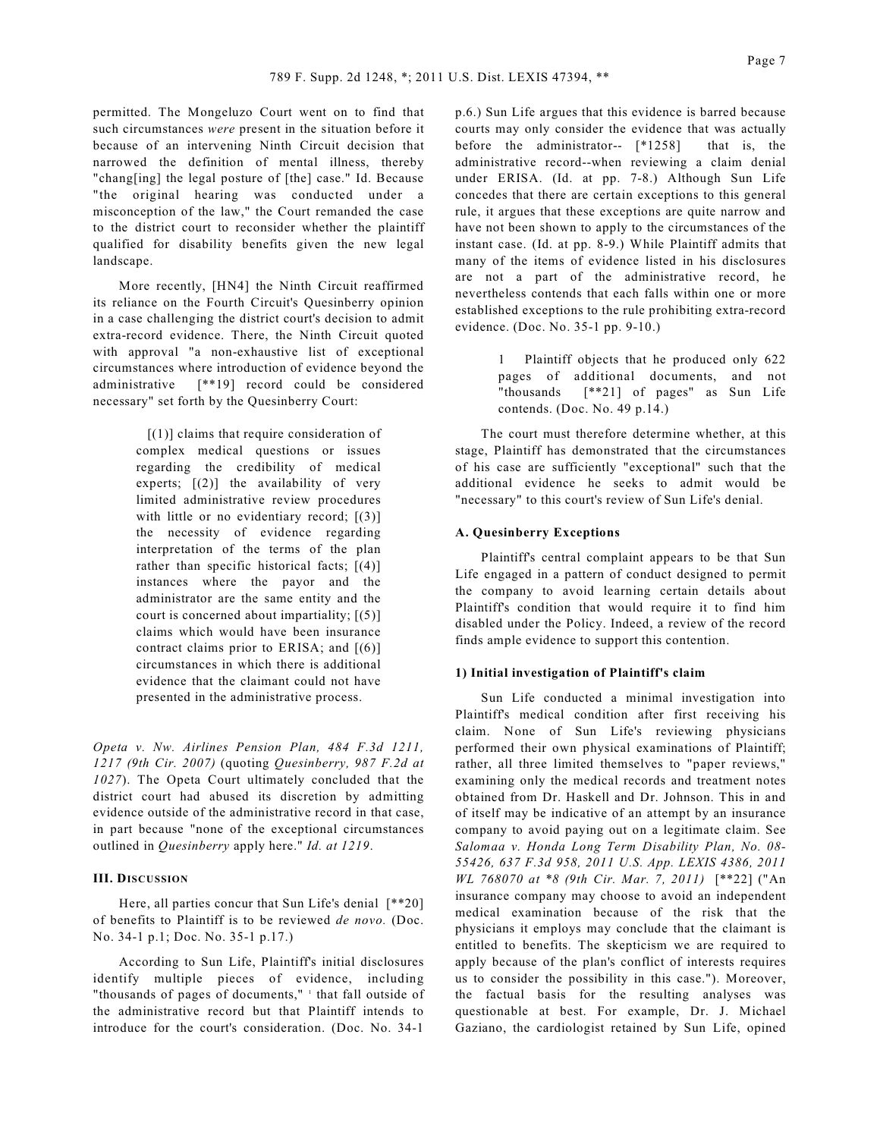permitted. The Mongeluzo Court went on to find that such circumstances *were* present in the situation before it because of an intervening Ninth Circuit decision that narrowed the definition of mental illness, thereby "chang[ing] the legal posture of [the] case." Id. Because "the original hearing was conducted under a misconception of the law," the Court remanded the case to the district court to reconsider whether the plaintiff qualified for disability benefits given the new legal landscape.

More recently, [HN4] the Ninth Circuit reaffirmed its reliance on the Fourth Circuit's Quesinberry opinion in a case challenging the district court's decision to admit extra-record evidence. There, the Ninth Circuit quoted with approval "a non-exhaustive list of exceptional circumstances where introduction of evidence beyond the administrative [\*\*19] record could be considered necessary" set forth by the Quesinberry Court:

> [(1)] claims that require consideration of complex medical questions or issues regarding the credibility of medical experts;  $[(2)]$  the availability of very limited administrative review procedures with little or no evidentiary record; [(3)] the necessity of evidence regarding interpretation of the terms of the plan rather than specific historical facts;  $[(4)]$ instances where the payor and the administrator are the same entity and the court is concerned about impartiality; [(5)] claims which would have been insurance contract claims prior to ERISA; and [(6)] circumstances in which there is additional evidence that the claimant could not have presented in the administrative process.

*Opeta v. Nw. Airlines Pension Plan, 484 F.3d 1211, 1217 (9th Cir. 2007)* (quoting *Quesinberry, 987 F.2d at 1027*). The Opeta Court ultimately concluded that the district court had abused its discretion by admitting evidence outside of the administrative record in that case, in part because "none of the exceptional circumstances outlined in *Quesinberry* apply here." *Id. at 1219*.

#### **III. DISCUSSION**

Here, all parties concur that Sun Life's denial [\*\*20] of benefits to Plaintiff is to be reviewed *de novo.* (Doc. No. 34-1 p.1; Doc. No. 35-1 p.17.)

According to Sun Life, Plaintiff's initial disclosures identify multiple pieces of evidence, including "thousands of pages of documents," I that fall outside of the administrative record but that Plaintiff intends to introduce for the court's consideration. (Doc. No. 34-1

p.6.) Sun Life argues that this evidence is barred because courts may only consider the evidence that was actually before the administrator-- [\*1258] that is, the administrative record--when reviewing a claim denial under ERISA. (Id. at pp. 7-8.) Although Sun Life concedes that there are certain exceptions to this general rule, it argues that these exceptions are quite narrow and have not been shown to apply to the circumstances of the instant case. (Id. at pp. 8-9.) While Plaintiff admits that many of the items of evidence listed in his disclosures are not a part of the administrative record, he nevertheless contends that each falls within one or more established exceptions to the rule prohibiting extra-record evidence. (Doc. No. 35-1 pp. 9-10.)

> 1 Plaintiff objects that he produced only 622 pages of additional documents, and not "thousands [\*\*21] of pages" as Sun Life contends. (Doc. No. 49 p.14.)

The court must therefore determine whether, at this stage, Plaintiff has demonstrated that the circumstances of his case are sufficiently "exceptional" such that the additional evidence he seeks to admit would be "necessary" to this court's review of Sun Life's denial.

### **A. Quesinberry Exceptions**

Plaintiff's central complaint appears to be that Sun Life engaged in a pattern of conduct designed to permit the company to avoid learning certain details about Plaintiff's condition that would require it to find him disabled under the Policy. Indeed, a review of the record finds ample evidence to support this contention.

#### **1) Initial investigation of Plaintiff's claim**

Sun Life conducted a minimal investigation into Plaintiff's medical condition after first receiving his claim. None of Sun Life's reviewing physicians performed their own physical examinations of Plaintiff; rather, all three limited themselves to "paper reviews," examining only the medical records and treatment notes obtained from Dr. Haskell and Dr. Johnson. This in and of itself may be indicative of an attempt by an insurance company to avoid paying out on a legitimate claim. See *Salomaa v. Honda Long Term Disability Plan, No. 08- 55426, 637 F.3d 958, 2011 U.S. App. LEXIS 4386, 2011 WL 768070 at \*8 (9th Cir. Mar. 7, 2011)* [\*\*22] ("An insurance company may choose to avoid an independent medical examination because of the risk that the physicians it employs may conclude that the claimant is entitled to benefits. The skepticism we are required to apply because of the plan's conflict of interests requires us to consider the possibility in this case."). Moreover, the factual basis for the resulting analyses was questionable at best. For example, Dr. J. Michael Gaziano, the cardiologist retained by Sun Life, opined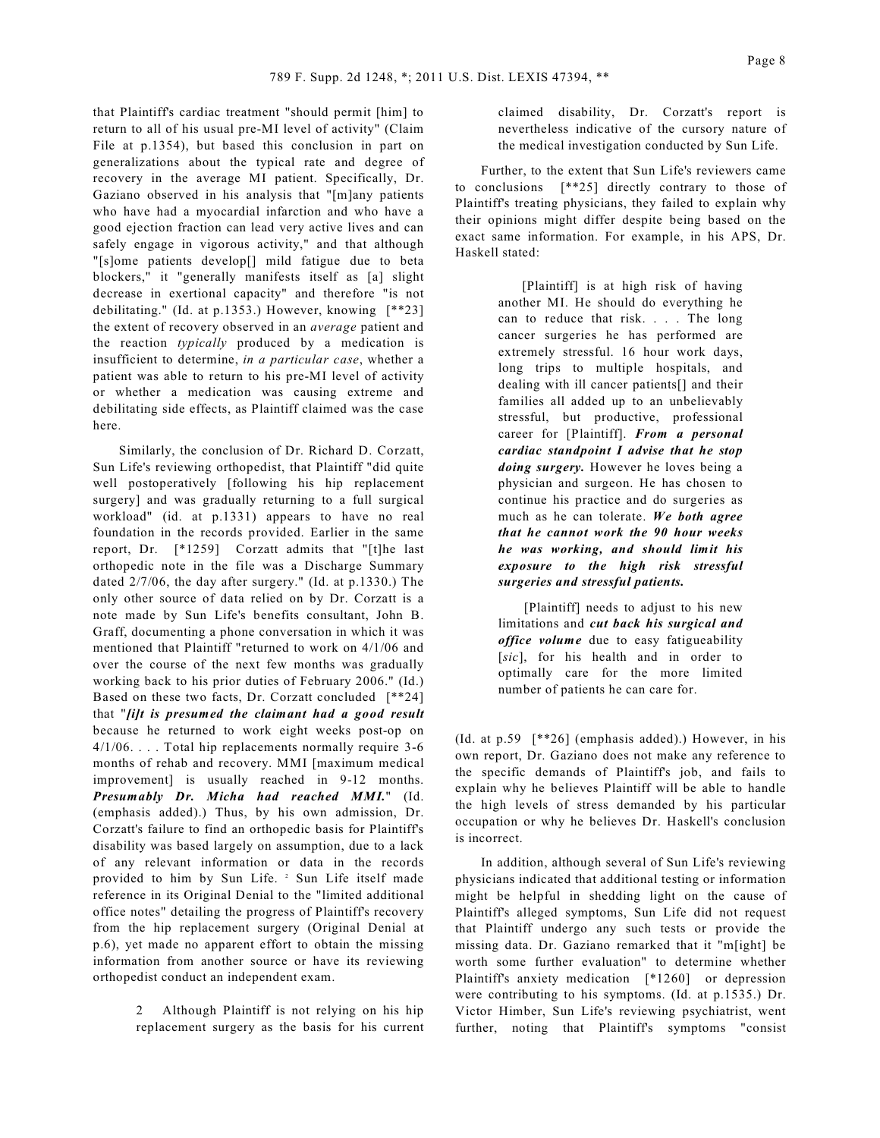that Plaintiff's cardiac treatment "should permit [him] to return to all of his usual pre-MI level of activity" (Claim File at p.1354), but based this conclusion in part on generalizations about the typical rate and degree of recovery in the average MI patient. Specifically, Dr. Gaziano observed in his analysis that "[m]any patients who have had a myocardial infarction and who have a good ejection fraction can lead very active lives and can safely engage in vigorous activity," and that although "[s]ome patients develop[] mild fatigue due to beta blockers," it "generally manifests itself as [a] slight decrease in exertional capacity" and therefore "is not debilitating." (Id. at p.1353.) However, knowing [\*\*23] the extent of recovery observed in an *average* patient and the reaction *typically* produced by a medication is insufficient to determine, *in a particular case*, whether a patient was able to return to his pre-MI level of activity or whether a medication was causing extreme and debilitating side effects, as Plaintiff claimed was the case here.

Similarly, the conclusion of Dr. Richard D. Corzatt, Sun Life's reviewing orthopedist, that Plaintiff "did quite well postoperatively [following his hip replacement surgery] and was gradually returning to a full surgical workload" (id. at p.1331) appears to have no real foundation in the records provided. Earlier in the same report, Dr. [\*1259] Corzatt admits that "[t]he last orthopedic note in the file was a Discharge Summary dated 2/7/06, the day after surgery." (Id. at p.1330.) The only other source of data relied on by Dr. Corzatt is a note made by Sun Life's benefits consultant, John B. Graff, documenting a phone conversation in which it was mentioned that Plaintiff "returned to work on 4/1/06 and over the course of the next few months was gradually working back to his prior duties of February 2006." (Id.) Based on these two facts, Dr. Corzatt concluded [\*\*24] that "*[i]t is presumed the claimant had a good result* because he returned to work eight weeks post-op on 4/1/06. . . . Total hip replacements normally require 3-6 months of rehab and recovery. MMI [maximum medical improvement] is usually reached in 9-12 months. *Presumably Dr. Micha had reached MMI.*" (Id. (emphasis added).) Thus, by his own admission, Dr. Corzatt's failure to find an orthopedic basis for Plaintiff's disability was based largely on assumption, due to a lack of any relevant information or data in the records provided to him by Sun Life.<sup>2</sup> Sun Life itself made reference in its Original Denial to the "limited additional office notes" detailing the progress of Plaintiff's recovery from the hip replacement surgery (Original Denial at p.6), yet made no apparent effort to obtain the missing information from another source or have its reviewing orthopedist conduct an independent exam.

> 2 Although Plaintiff is not relying on his hip replacement surgery as the basis for his current

claimed disability, Dr. Corzatt's report is nevertheless indicative of the cursory nature of the medical investigation conducted by Sun Life.

Further, to the extent that Sun Life's reviewers came to conclusions [\*\*25] directly contrary to those of Plaintiff's treating physicians, they failed to explain why their opinions might differ despite being based on the exact same information. For example, in his APS, Dr. Haskell stated:

> [Plaintiff] is at high risk of having another MI. He should do everything he can to reduce that risk. . . . The long cancer surgeries he has performed are extremely stressful. 16 hour work days, long trips to multiple hospitals, and dealing with ill cancer patients[] and their families all added up to an unbelievably stressful, but productive, professional career for [Plaintiff]. *From a personal cardiac standpoint I advise that he stop doing surgery.* However he loves being a physician and surgeon. He has chosen to continue his practice and do surgeries as much as he can tolerate. *We both agree that he cannot work the 90 hour weeks he was working, and should limit his exposure to the high risk stressful surgeries and stressful patients.*

[Plaintiff] needs to adjust to his new limitations and *cut back his surgical and office volume* due to easy fatigueability [*sic*], for his health and in order to optimally care for the more limited number of patients he can care for.

(Id. at p.59 [\*\*26] (emphasis added).) However, in his own report, Dr. Gaziano does not make any reference to the specific demands of Plaintiff's job, and fails to explain why he believes Plaintiff will be able to handle the high levels of stress demanded by his particular occupation or why he believes Dr. Haskell's conclusion is incorrect.

In addition, although several of Sun Life's reviewing physicians indicated that additional testing or information might be helpful in shedding light on the cause of Plaintiff's alleged symptoms, Sun Life did not request that Plaintiff undergo any such tests or provide the missing data. Dr. Gaziano remarked that it "m[ight] be worth some further evaluation" to determine whether Plaintiff's anxiety medication [\*1260] or depression were contributing to his symptoms. (Id. at p.1535.) Dr. Victor Himber, Sun Life's reviewing psychiatrist, went further, noting that Plaintiff's symptoms "consist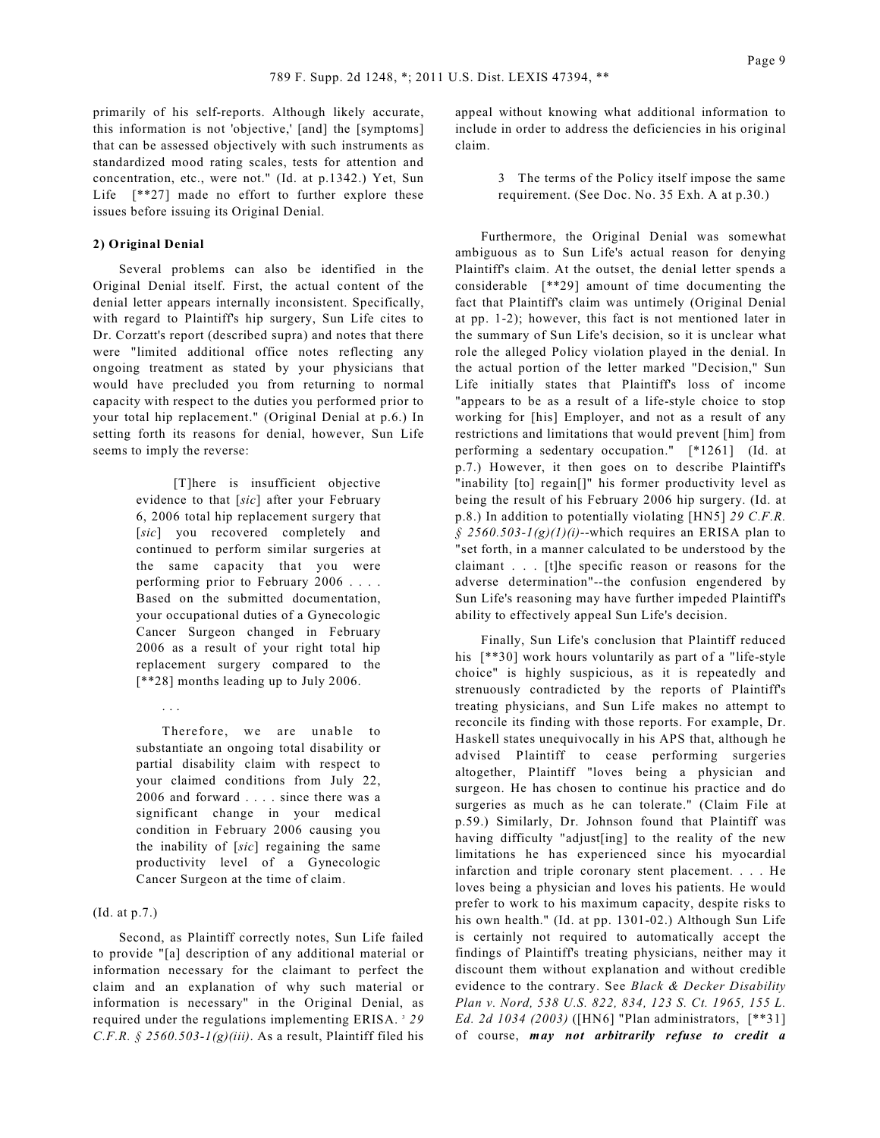primarily of his self-reports. Although likely accurate, this information is not 'objective,' [and] the [symptoms] that can be assessed objectively with such instruments as standardized mood rating scales, tests for attention and concentration, etc., were not." (Id. at p.1342.) Yet, Sun Life [\*\*27] made no effort to further explore these issues before issuing its Original Denial.

#### **2) Original Denial**

Several problems can also be identified in the Original Denial itself. First, the actual content of the denial letter appears internally inconsistent. Specifically, with regard to Plaintiff's hip surgery, Sun Life cites to Dr. Corzatt's report (described supra) and notes that there were "limited additional office notes reflecting any ongoing treatment as stated by your physicians that would have precluded you from returning to normal capacity with respect to the duties you performed prior to your total hip replacement." (Original Denial at p.6.) In setting forth its reasons for denial, however, Sun Life seems to imply the reverse:

> [T]here is insufficient objective evidence to that [*sic*] after your February 6, 2006 total hip replacement surgery that [sic] you recovered completely and continued to perform similar surgeries at the same capacity that you were performing prior to February 2006 . . . . Based on the submitted documentation, your occupational duties of a Gynecologic Cancer Surgeon changed in February 2006 as a result of your right total hip replacement surgery compared to the [\*\*28] months leading up to July 2006.

> Therefore, we are unable to substantiate an ongoing total disability or partial disability claim with respect to your claimed conditions from July 22, 2006 and forward . . . . since there was a significant change in your medical condition in February 2006 causing you the inability of [*sic*] regaining the same productivity level of a Gynecologic Cancer Surgeon at the time of claim.

### (Id. at p.7.)

. . .

Second, as Plaintiff correctly notes, Sun Life failed to provide "[a] description of any additional material or information necessary for the claimant to perfect the claim and an explanation of why such material or information is necessary" in the Original Denial, as required under the regulations implementing ERISA.<sup>3</sup> 29 *C.F.R. § 2560.503-1(g)(iii)*. As a result, Plaintiff filed his appeal without knowing what additional information to include in order to address the deficiencies in his original claim.

> 3 The terms of the Policy itself impose the same requirement. (See Doc. No. 35 Exh. A at p.30.)

Furthermore, the Original Denial was somewhat ambiguous as to Sun Life's actual reason for denying Plaintiff's claim. At the outset, the denial letter spends a considerable [\*\*29] amount of time documenting the fact that Plaintiff's claim was untimely (Original Denial at pp. 1-2); however, this fact is not mentioned later in the summary of Sun Life's decision, so it is unclear what role the alleged Policy violation played in the denial. In the actual portion of the letter marked "Decision," Sun Life initially states that Plaintiff's loss of income "appears to be as a result of a life-style choice to stop working for [his] Employer, and not as a result of any restrictions and limitations that would prevent [him] from performing a sedentary occupation." [\*1261] (Id. at p.7.) However, it then goes on to describe Plaintiff's "inability [to] regain[]" his former productivity level as being the result of his February 2006 hip surgery. (Id. at p.8.) In addition to potentially violating [HN5] *29 C.F.R.*  $\hat{\gamma}$  2560.503-1(g)(1)(i)--which requires an ERISA plan to "set forth, in a manner calculated to be understood by the claimant . . . [t]he specific reason or reasons for the adverse determination"--the confusion engendered by Sun Life's reasoning may have further impeded Plaintiff's ability to effectively appeal Sun Life's decision.

Finally, Sun Life's conclusion that Plaintiff reduced his  $[**30]$  work hours voluntarily as part of a "life-style" choice" is highly suspicious, as it is repeatedly and strenuously contradicted by the reports of Plaintiff's treating physicians, and Sun Life makes no attempt to reconcile its finding with those reports. For example, Dr. Haskell states unequivocally in his APS that, although he advised Plaintiff to cease performing surgeries altogether, Plaintiff "loves being a physician and surgeon. He has chosen to continue his practice and do surgeries as much as he can tolerate." (Claim File at p.59.) Similarly, Dr. Johnson found that Plaintiff was having difficulty "adjust[ing] to the reality of the new limitations he has experienced since his myocardial infarction and triple coronary stent placement. . . . He loves being a physician and loves his patients. He would prefer to work to his maximum capacity, despite risks to his own health." (Id. at pp. 1301-02.) Although Sun Life is certainly not required to automatically accept the findings of Plaintiff's treating physicians, neither may it discount them without explanation and without credible evidence to the contrary. See *Black & Decker Disability Plan v. Nord, 538 U.S. 822, 834, 123 S. Ct. 1965, 155 L. Ed. 2d 1034 (2003)* ([HN6] "Plan administrators, [\*\*31] of course, *may not arbitrarily refuse to credit a*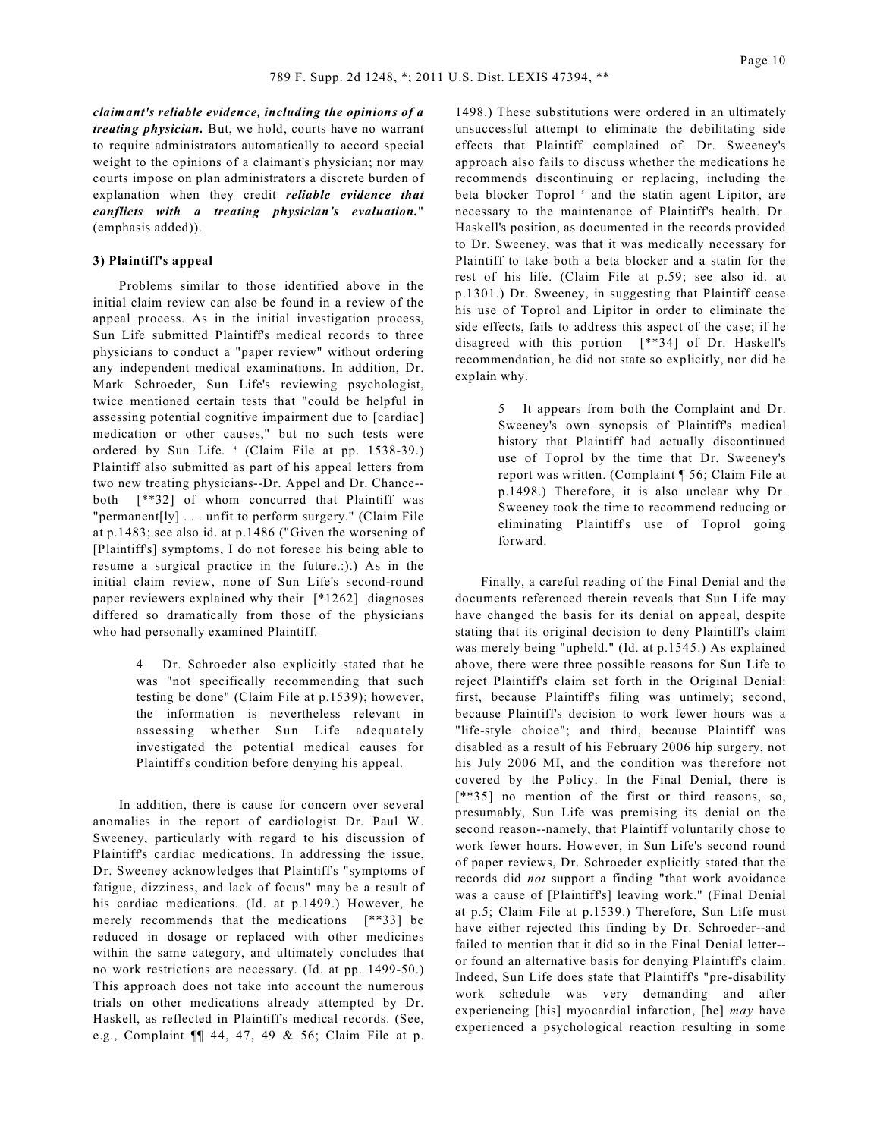*claimant's reliable evidence, including the opinions of a treating physician.* But, we hold, courts have no warrant to require administrators automatically to accord special weight to the opinions of a claimant's physician; nor may courts impose on plan administrators a discrete burden of explanation when they credit *reliable evidence that conflicts with a treating physician's evaluation.*" (emphasis added)).

#### **3) Plaintiff's appeal**

Problems similar to those identified above in the initial claim review can also be found in a review of the appeal process. As in the initial investigation process, Sun Life submitted Plaintiff's medical records to three physicians to conduct a "paper review" without ordering any independent medical examinations. In addition, Dr. Mark Schroeder, Sun Life's reviewing psychologist, twice mentioned certain tests that "could be helpful in assessing potential cognitive impairment due to [cardiac] medication or other causes," but no such tests were ordered by Sun Life. 4 (Claim File at pp. 1538-39.) Plaintiff also submitted as part of his appeal letters from two new treating physicians--Dr. Appel and Dr. Chance- both [\*\*32] of whom concurred that Plaintiff was "permanent[ly] . . . unfit to perform surgery." (Claim File at p.1483; see also id. at p.1486 ("Given the worsening of [Plaintiff's] symptoms, I do not foresee his being able to resume a surgical practice in the future.:).) As in the initial claim review, none of Sun Life's second-round paper reviewers explained why their [\*1262] diagnoses differed so dramatically from those of the physicians who had personally examined Plaintiff.

> Dr. Schroeder also explicitly stated that he was "not specifically recommending that such testing be done" (Claim File at p.1539); however, the information is nevertheless relevant in asse ssing whether Sun Life adequately investigated the potential medical causes for Plaintiff's condition before denying his appeal.

In addition, there is cause for concern over several anomalies in the report of cardiologist Dr. Paul W. Sweeney, particularly with regard to his discussion of Plaintiff's cardiac medications. In addressing the issue, Dr. Sweeney acknowledges that Plaintiff's "symptoms of fatigue, dizziness, and lack of focus" may be a result of his cardiac medications. (Id. at p.1499.) However, he merely recommends that the medications [\*\*33] be reduced in dosage or replaced with other medicines within the same category, and ultimately concludes that no work restrictions are necessary. (Id. at pp. 1499-50.) This approach does not take into account the numerous trials on other medications already attempted by Dr. Haskell, as reflected in Plaintiff's medical records. (See, e.g., Complaint ¶¶ 44, 47, 49 & 56; Claim File at p.

1498.) These substitutions were ordered in an ultimately unsuccessful attempt to eliminate the debilitating side effects that Plaintiff complained of. Dr. Sweeney's approach also fails to discuss whether the medications he recommends discontinuing or replacing, including the beta blocker Toprol<sup>5</sup> and the statin agent Lipitor, are necessary to the maintenance of Plaintiff's health. Dr. Haskell's position, as documented in the records provided to Dr. Sweeney, was that it was medically necessary for Plaintiff to take both a beta blocker and a statin for the rest of his life. (Claim File at p.59; see also id. at p.1301.) Dr. Sweeney, in suggesting that Plaintiff cease his use of Toprol and Lipitor in order to eliminate the side effects, fails to address this aspect of the case; if he disagreed with this portion [\*\*34] of Dr. Haskell's recommendation, he did not state so explicitly, nor did he explain why.

> 5 It appears from both the Complaint and Dr. Sweeney's own synopsis of Plaintiff's medical history that Plaintiff had actually discontinued use of Toprol by the time that Dr. Sweeney's report was written. (Complaint ¶ 56; Claim File at p.1498.) Therefore, it is also unclear why Dr. Sweeney took the time to recommend reducing or eliminating Plaintiff's use of Toprol going forward.

Finally, a careful reading of the Final Denial and the documents referenced therein reveals that Sun Life may have changed the basis for its denial on appeal, despite stating that its original decision to deny Plaintiff's claim was merely being "upheld." (Id. at p.1545.) As explained above, there were three possible reasons for Sun Life to reject Plaintiff's claim set forth in the Original Denial: first, because Plaintiff's filing was untimely; second, because Plaintiff's decision to work fewer hours was a "life-style choice"; and third, because Plaintiff was disabled as a result of his February 2006 hip surgery, not his July 2006 MI, and the condition was therefore not covered by the Policy. In the Final Denial, there is [\*\*35] no mention of the first or third reasons, so, presumably, Sun Life was premising its denial on the second reason--namely, that Plaintiff voluntarily chose to work fewer hours. However, in Sun Life's second round of paper reviews, Dr. Schroeder explicitly stated that the records did *not* support a finding "that work avoidance was a cause of [Plaintiff's] leaving work." (Final Denial at p.5; Claim File at p.1539.) Therefore, Sun Life must have either rejected this finding by Dr. Schroeder--and failed to mention that it did so in the Final Denial letter- or found an alternative basis for denying Plaintiff's claim. Indeed, Sun Life does state that Plaintiff's "pre-disability work schedule was very demanding and after experiencing [his] myocardial infarction, [he] *may* have experienced a psychological reaction resulting in some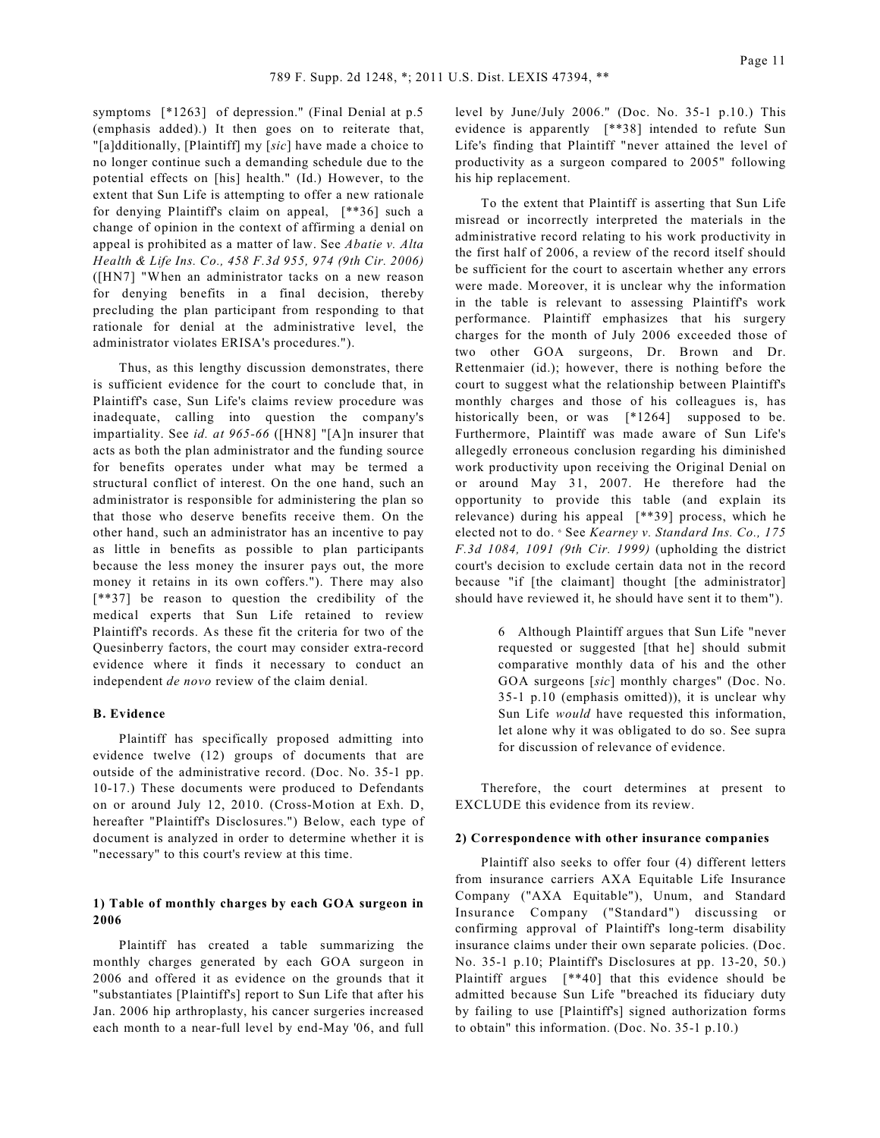symptoms [\*1263] of depression." (Final Denial at p.5 (emphasis added).) It then goes on to reiterate that, "[a]dditionally, [Plaintiff] my [*sic*] have made a choice to no longer continue such a demanding schedule due to the potential effects on [his] health." (Id.) However, to the extent that Sun Life is attempting to offer a new rationale for denying Plaintiff's claim on appeal, [\*\*36] such a change of opinion in the context of affirming a denial on appeal is prohibited as a matter of law. See *Abatie v. Alta Health & Life Ins. Co., 458 F.3d 955, 974 (9th Cir. 2006)* ([HN7] "When an administrator tacks on a new reason for denying benefits in a final decision, thereby precluding the plan participant from responding to that rationale for denial at the administrative level, the administrator violates ERISA's procedures.").

Thus, as this lengthy discussion demonstrates, there is sufficient evidence for the court to conclude that, in Plaintiff's case, Sun Life's claims review procedure was inadequate, calling into question the company's impartiality. See *id. at 965-66* ([HN8] "[A]n insurer that acts as both the plan administrator and the funding source for benefits operates under what may be termed a structural conflict of interest. On the one hand, such an administrator is responsible for administering the plan so that those who deserve benefits receive them. On the other hand, such an administrator has an incentive to pay as little in benefits as possible to plan participants because the less money the insurer pays out, the more money it retains in its own coffers."). There may also [\*\*37] be reason to question the credibility of the medical experts that Sun Life retained to review Plaintiff's records. As these fit the criteria for two of the Quesinberry factors, the court may consider extra-record evidence where it finds it necessary to conduct an independent *de novo* review of the claim denial.

### **B. Evidence**

Plaintiff has specifically proposed admitting into evidence twelve (12) groups of documents that are outside of the administrative record. (Doc. No. 35-1 pp. 10-17.) These documents were produced to Defendants on or around July 12, 2010. (Cross-Motion at Exh. D, hereafter "Plaintiff's Disclosures.") Below, each type of document is analyzed in order to determine whether it is "necessary" to this court's review at this time.

## **1) Table of monthly charges by each GOA surgeon in 2006**

Plaintiff has created a table summarizing the monthly charges generated by each GOA surgeon in 2006 and offered it as evidence on the grounds that it "substantiates [Plaintiff's] report to Sun Life that after his Jan. 2006 hip arthroplasty, his cancer surgeries increased each month to a near-full level by end-May '06, and full

level by June/July 2006." (Doc. No. 35-1 p.10.) This evidence is apparently [\*\*38] intended to refute Sun Life's finding that Plaintiff "never attained the level of productivity as a surgeon compared to 2005" following his hip replacement.

To the extent that Plaintiff is asserting that Sun Life misread or incorrectly interpreted the materials in the administrative record relating to his work productivity in the first half of 2006, a review of the record itself should be sufficient for the court to ascertain whether any errors were made. Moreover, it is unclear why the information in the table is relevant to assessing Plaintiff's work performance. Plaintiff emphasizes that his surgery charges for the month of July 2006 exceeded those of two other GOA surgeons, Dr. Brown and Dr. Rettenmaier (id.); however, there is nothing before the court to suggest what the relationship between Plaintiff's monthly charges and those of his colleagues is, has historically been, or was [\*1264] supposed to be. Furthermore, Plaintiff was made aware of Sun Life's allegedly erroneous conclusion regarding his diminished work productivity upon receiving the Original Denial on or around May 31, 2007. He therefore had the opportunity to provide this table (and explain its relevance) during his appeal [\*\*39] process, which he elected not to do. <sup>6</sup> See *Kearney v. Standard Ins. Co., 175 F.3d 1084, 1091 (9th Cir. 1999)* (upholding the district court's decision to exclude certain data not in the record because "if [the claimant] thought [the administrator] should have reviewed it, he should have sent it to them").

> 6 Although Plaintiff argues that Sun Life "never requested or suggested [that he] should submit comparative monthly data of his and the other GOA surgeons [*sic*] monthly charges" (Doc. No. 35-1 p.10 (emphasis omitted)), it is unclear why Sun Life *would* have requested this information, let alone why it was obligated to do so. See supra for discussion of relevance of evidence.

Therefore, the court determines at present to EXCLUDE this evidence from its review.

#### **2) Correspondence with other insurance companies**

Plaintiff also seeks to offer four (4) different letters from insurance carriers AXA Equitable Life Insurance Company ("AXA Equitable"), Unum, and Standard Insurance Company ("Standard") discussing or confirming approval of Plaintiff's long-term disability insurance claims under their own separate policies. (Doc. No. 35-1 p.10; Plaintiff's Disclosures at pp. 13-20, 50.) Plaintiff argues [\*\*40] that this evidence should be admitted because Sun Life "breached its fiduciary duty by failing to use [Plaintiff's] signed authorization forms to obtain" this information. (Doc. No. 35-1 p.10.)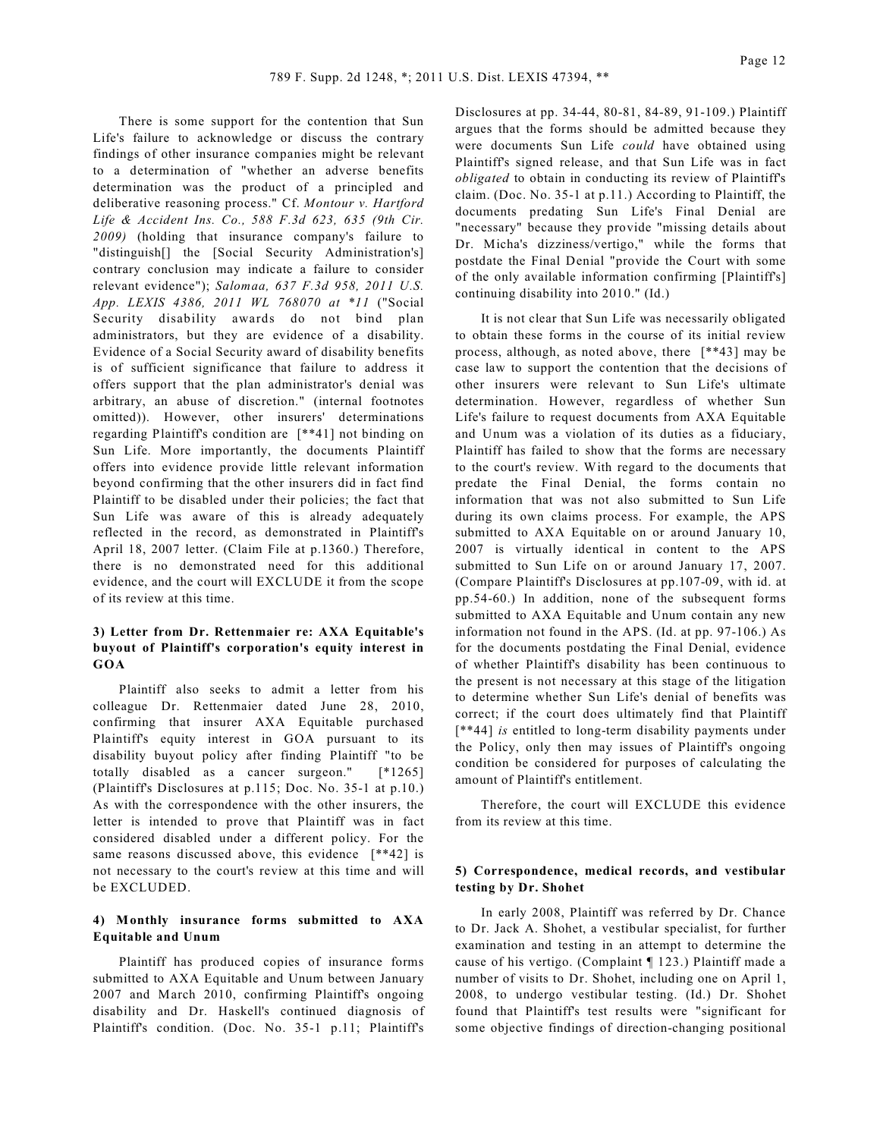There is some support for the contention that Sun Life's failure to acknowledge or discuss the contrary findings of other insurance companies might be relevant to a determination of "whether an adverse benefits determination was the product of a principled and deliberative reasoning process." Cf. *Montour v. Hartford Life & Accident Ins. Co., 588 F.3d 623, 635 (9th Cir. 2009)* (holding that insurance company's failure to "distinguish[] the [Social Security Administration's] contrary conclusion may indicate a failure to consider relevant evidence"); *Salomaa, 637 F.3d 958, 2011 U.S. App. LEXIS 4386, 2011 WL 768070 at \*11* ("Social Security disability awards do not bind plan administrators, but they are evidence of a disability. Evidence of a Social Security award of disability benefits is of sufficient significance that failure to address it offers support that the plan administrator's denial was arbitrary, an abuse of discretion." (internal footnotes omitted)). However, other insurers' determinations regarding Plaintiff's condition are [\*\*41] not binding on Sun Life. More importantly, the documents Plaintiff offers into evidence provide little relevant information beyond confirming that the other insurers did in fact find Plaintiff to be disabled under their policies; the fact that Sun Life was aware of this is already adequately reflected in the record, as demonstrated in Plaintiff's April 18, 2007 letter. (Claim File at p.1360.) Therefore, there is no demonstrated need for this additional evidence, and the court will EXCLUDE it from the scope of its review at this time.

## **3) Letter from Dr. Rettenmaier re: AXA Equitable's buyout of Plaintiff's corporation's equity interest in GOA**

Plaintiff also seeks to admit a letter from his colleague Dr. Rettenmaier dated June 28, 2010, confirming that insurer AXA Equitable purchased Plaintiff's equity interest in GOA pursuant to its disability buyout policy after finding Plaintiff "to be totally disabled as a cancer surgeon." [\*1265] (Plaintiff's Disclosures at p.115; Doc. No. 35-1 at p.10.) As with the correspondence with the other insurers, the letter is intended to prove that Plaintiff was in fact considered disabled under a different policy. For the same reasons discussed above, this evidence [\*\*42] is not necessary to the court's review at this time and will be EXCLUDED.

## **4) Monthly insurance forms submitted to AXA Equitable and Unum**

Plaintiff has produced copies of insurance forms submitted to AXA Equitable and Unum between January 2007 and March 2010, confirming Plaintiff's ongoing disability and Dr. Haskell's continued diagnosis of Plaintiff's condition. (Doc. No. 35-1 p.11; Plaintiff's

Disclosures at pp. 34-44, 80-81, 84-89, 91-109.) Plaintiff argues that the forms should be admitted because they were documents Sun Life *could* have obtained using Plaintiff's signed release, and that Sun Life was in fact *obligated* to obtain in conducting its review of Plaintiff's claim. (Doc. No. 35-1 at p.11.) According to Plaintiff, the documents predating Sun Life's Final Denial are "necessary" because they provide "missing details about Dr. Micha's dizziness/vertigo," while the forms that postdate the Final Denial "provide the Court with some of the only available information confirming [Plaintiff's] continuing disability into 2010." (Id.)

It is not clear that Sun Life was necessarily obligated to obtain these forms in the course of its initial review process, although, as noted above, there [\*\*43] may be case law to support the contention that the decisions of other insurers were relevant to Sun Life's ultimate determination. However, regardless of whether Sun Life's failure to request documents from AXA Equitable and Unum was a violation of its duties as a fiduciary, Plaintiff has failed to show that the forms are necessary to the court's review. With regard to the documents that predate the Final Denial, the forms contain no information that was not also submitted to Sun Life during its own claims process. For example, the APS submitted to AXA Equitable on or around January 10, 2007 is virtually identical in content to the APS submitted to Sun Life on or around January 17, 2007. (Compare Plaintiff's Disclosures at pp.107-09, with id. at pp.54-60.) In addition, none of the subsequent forms submitted to AXA Equitable and Unum contain any new information not found in the APS. (Id. at pp. 97-106.) As for the documents postdating the Final Denial, evidence of whether Plaintiff's disability has been continuous to the present is not necessary at this stage of the litigation to determine whether Sun Life's denial of benefits was correct; if the court does ultimately find that Plaintiff [\*\*44] *is* entitled to long-term disability payments under the Policy, only then may issues of Plaintiff's ongoing condition be considered for purposes of calculating the amount of Plaintiff's entitlement.

Therefore, the court will EXCLUDE this evidence from its review at this time.

## **5) Correspondence, medical records, and vestibular testing by Dr. Shohet**

In early 2008, Plaintiff was referred by Dr. Chance to Dr. Jack A. Shohet, a vestibular specialist, for further examination and testing in an attempt to determine the cause of his vertigo. (Complaint ¶ 123.) Plaintiff made a number of visits to Dr. Shohet, including one on April 1, 2008, to undergo vestibular testing. (Id.) Dr. Shohet found that Plaintiff's test results were "significant for some objective findings of direction-changing positional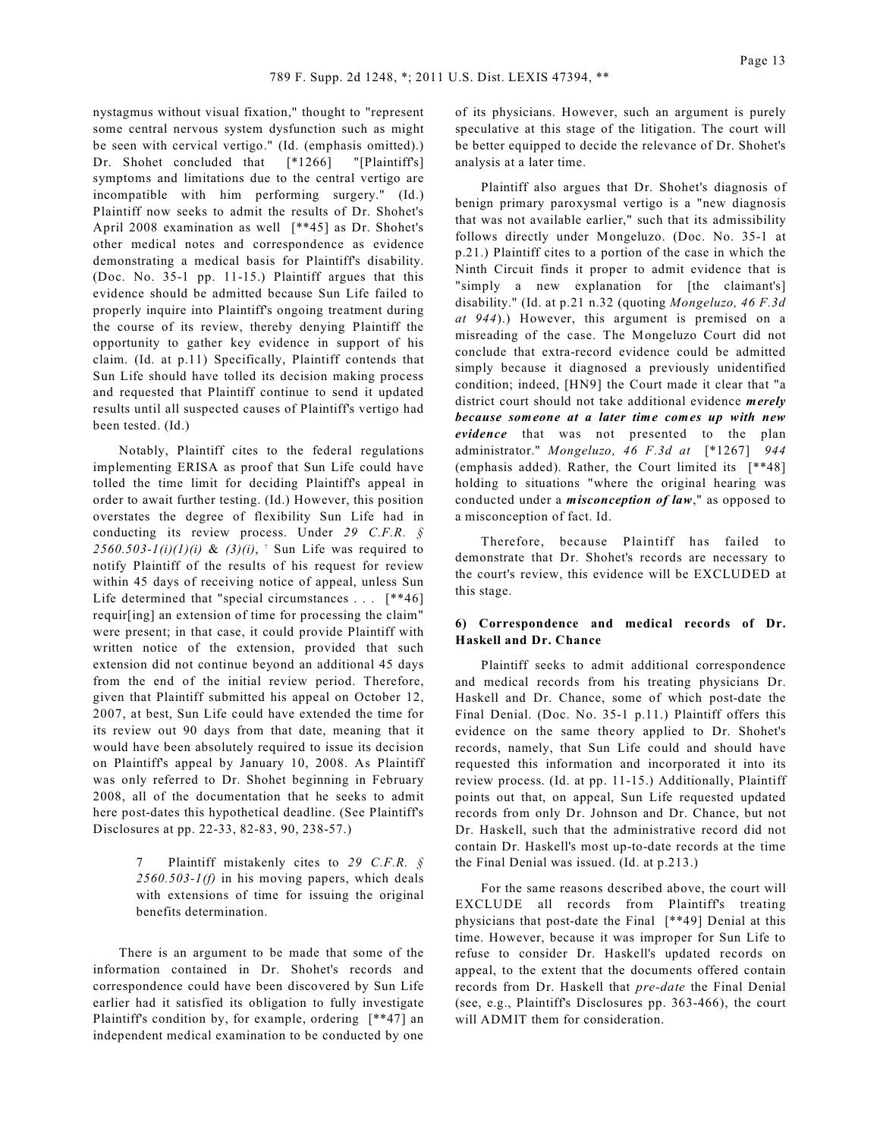nystagmus without visual fixation," thought to "represent some central nervous system dysfunction such as might be seen with cervical vertigo." (Id. (emphasis omitted).) Dr. Shohet concluded that [\*1266] "[Plaintiff's] symptoms and limitations due to the central vertigo are incompatible with him performing surgery." (Id.) Plaintiff now seeks to admit the results of Dr. Shohet's April 2008 examination as well [\*\*45] as Dr. Shohet's other medical notes and correspondence as evidence demonstrating a medical basis for Plaintiff's disability. (Doc. No. 35-1 pp. 11-15.) Plaintiff argues that this evidence should be admitted because Sun Life failed to properly inquire into Plaintiff's ongoing treatment during the course of its review, thereby denying Plaintiff the opportunity to gather key evidence in support of his claim. (Id. at p.11) Specifically, Plaintiff contends that Sun Life should have tolled its decision making process and requested that Plaintiff continue to send it updated results until all suspected causes of Plaintiff's vertigo had been tested. (Id.)

Notably, Plaintiff cites to the federal regulations implementing ERISA as proof that Sun Life could have tolled the time limit for deciding Plaintiff's appeal in order to await further testing. (Id.) However, this position overstates the degree of flexibility Sun Life had in conducting its review process. Under *29 C.F.R. §*  $2560.503 - I(i)(1)(i)$  &  $(3)(i)$ , <sup>7</sup> Sun Life was required to notify Plaintiff of the results of his request for review within 45 days of receiving notice of appeal, unless Sun Life determined that "special circumstances . . . [\*\*46] requir[ing] an extension of time for processing the claim" were present; in that case, it could provide Plaintiff with written notice of the extension, provided that such extension did not continue beyond an additional 45 days from the end of the initial review period. Therefore, given that Plaintiff submitted his appeal on October 12, 2007, at best, Sun Life could have extended the time for its review out 90 days from that date, meaning that it would have been absolutely required to issue its decision on Plaintiff's appeal by January 10, 2008. As Plaintiff was only referred to Dr. Shohet beginning in February 2008, all of the documentation that he seeks to admit here post-dates this hypothetical deadline. (See Plaintiff's Disclosures at pp. 22-33, 82-83, 90, 238-57.)

> 7 Plaintiff mistakenly cites to *29 C.F.R. § 2560.503-1(f)* in his moving papers, which deals with extensions of time for issuing the original benefits determination.

There is an argument to be made that some of the information contained in Dr. Shohet's records and correspondence could have been discovered by Sun Life earlier had it satisfied its obligation to fully investigate Plaintiff's condition by, for example, ordering [\*\*47] an independent medical examination to be conducted by one

of its physicians. However, such an argument is purely speculative at this stage of the litigation. The court will be better equipped to decide the relevance of Dr. Shohet's analysis at a later time.

Plaintiff also argues that Dr. Shohet's diagnosis of benign primary paroxysmal vertigo is a "new diagnosis that was not available earlier," such that its admissibility follows directly under Mongeluzo. (Doc. No. 35-1 at p.21.) Plaintiff cites to a portion of the case in which the Ninth Circuit finds it proper to admit evidence that is "simply a new explanation for [the claimant's] disability." (Id. at p.21 n.32 (quoting *Mongeluzo, 46 F.3d at 944*).) However, this argument is premised on a misreading of the case. The Mongeluzo Court did not conclude that extra-record evidence could be admitted simply because it diagnosed a previously unidentified condition; indeed, [HN9] the Court made it clear that "a district court should not take additional evidence *merely because someone at a later time comes up with new evidence* that was not presented to the plan administrator." *Mongeluzo, 46 F.3d at* [\*1267] *944* (emphasis added). Rather, the Court limited its [\*\*48] holding to situations "where the original hearing was conducted under a *misconception of law*," as opposed to a misconception of fact. Id.

Therefore, because Plaintiff has failed to demonstrate that Dr. Shohet's records are necessary to the court's review, this evidence will be EXCLUDED at this stage.

## **6) Correspondence and medical records of Dr. Haskell and Dr. Chance**

Plaintiff seeks to admit additional correspondence and medical records from his treating physicians Dr. Haskell and Dr. Chance, some of which post-date the Final Denial. (Doc. No. 35-1 p.11.) Plaintiff offers this evidence on the same theory applied to Dr. Shohet's records, namely, that Sun Life could and should have requested this information and incorporated it into its review process. (Id. at pp. 11-15.) Additionally, Plaintiff points out that, on appeal, Sun Life requested updated records from only Dr. Johnson and Dr. Chance, but not Dr. Haskell, such that the administrative record did not contain Dr. Haskell's most up-to-date records at the time the Final Denial was issued. (Id. at p.213.)

For the same reasons described above, the court will EXCLUDE all records from Plaintiff's treating physicians that post-date the Final [\*\*49] Denial at this time. However, because it was improper for Sun Life to refuse to consider Dr. Haskell's updated records on appeal, to the extent that the documents offered contain records from Dr. Haskell that *pre-date* the Final Denial (see, e.g., Plaintiff's Disclosures pp. 363-466), the court will ADMIT them for consideration.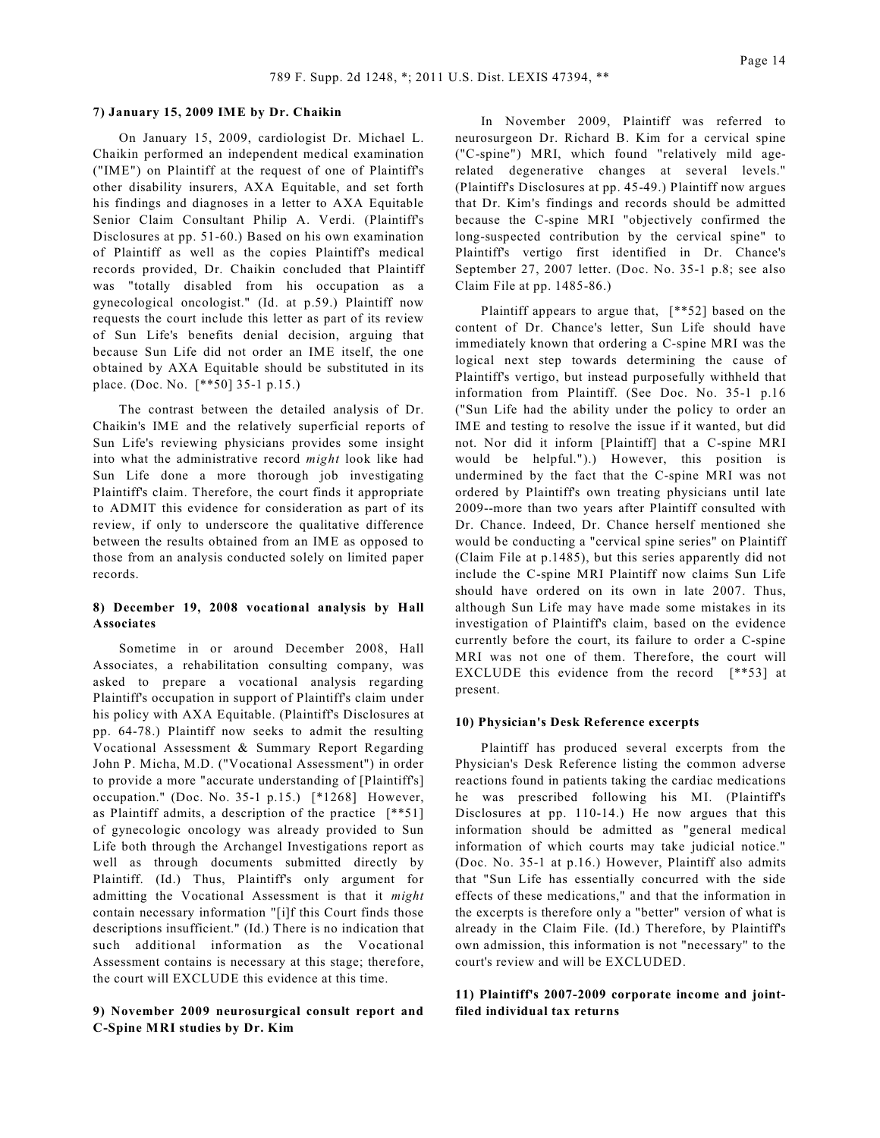## **7) January 15, 2009 IME by Dr. Chaikin**

On January 15, 2009, cardiologist Dr. Michael L. Chaikin performed an independent medical examination ("IME") on Plaintiff at the request of one of Plaintiff's other disability insurers, AXA Equitable, and set forth his findings and diagnoses in a letter to AXA Equitable Senior Claim Consultant Philip A. Verdi. (Plaintiff's Disclosures at pp. 51-60.) Based on his own examination of Plaintiff as well as the copies Plaintiff's medical records provided, Dr. Chaikin concluded that Plaintiff was "totally disabled from his occupation as a gynecological oncologist." (Id. at p.59.) Plaintiff now requests the court include this letter as part of its review of Sun Life's benefits denial decision, arguing that because Sun Life did not order an IME itself, the one obtained by AXA Equitable should be substituted in its place. (Doc. No. [\*\*50] 35-1 p.15.)

The contrast between the detailed analysis of Dr. Chaikin's IME and the relatively superficial reports of Sun Life's reviewing physicians provides some insight into what the administrative record *might* look like had Sun Life done a more thorough job investigating Plaintiff's claim. Therefore, the court finds it appropriate to ADMIT this evidence for consideration as part of its review, if only to underscore the qualitative difference between the results obtained from an IME as opposed to those from an analysis conducted solely on limited paper records.

## **8) December 19, 2008 vocational analysis by Hall Associates**

Sometime in or around December 2008, Hall Associates, a rehabilitation consulting company, was asked to prepare a vocational analysis regarding Plaintiff's occupation in support of Plaintiff's claim under his policy with AXA Equitable. (Plaintiff's Disclosures at pp. 64-78.) Plaintiff now seeks to admit the resulting Vocational Assessment & Summary Report Regarding John P. Micha, M.D. ("Vocational Assessment") in order to provide a more "accurate understanding of [Plaintiff's] occupation." (Doc. No. 35-1 p.15.) [\*1268] However, as Plaintiff admits, a description of the practice [\*\*51] of gynecologic oncology was already provided to Sun Life both through the Archangel Investigations report as well as through documents submitted directly by Plaintiff. (Id.) Thus, Plaintiff's only argument for admitting the Vocational Assessment is that it *might* contain necessary information "[i]f this Court finds those descriptions insufficient." (Id.) There is no indication that such additional information as the Vocational Assessment contains is necessary at this stage; therefore, the court will EXCLUDE this evidence at this time.

## **9) November 2009 neurosurgical consult report and C-Spine MRI studies by Dr. Kim**

In November 2009, Plaintiff was referred to neurosurgeon Dr. Richard B. Kim for a cervical spine ("C-spine") MRI, which found "relatively mild agerelated degenerative changes at several levels." (Plaintiff's Disclosures at pp. 45-49.) Plaintiff now argues that Dr. Kim's findings and records should be admitted because the C-spine MRI "objectively confirmed the long-suspected contribution by the cervical spine" to Plaintiff's vertigo first identified in Dr. Chance's September 27, 2007 letter. (Doc. No. 35-1 p.8; see also Claim File at pp. 1485-86.)

Plaintiff appears to argue that, [\*\*52] based on the content of Dr. Chance's letter, Sun Life should have immediately known that ordering a C-spine MRI was the logical next step towards determining the cause of Plaintiff's vertigo, but instead purposefully withheld that information from Plaintiff. (See Doc. No. 35-1 p.16 ("Sun Life had the ability under the policy to order an IME and testing to resolve the issue if it wanted, but did not. Nor did it inform [Plaintiff] that a C-spine MRI would be helpful.").) However, this position is undermined by the fact that the C-spine MRI was not ordered by Plaintiff's own treating physicians until late 2009--more than two years after Plaintiff consulted with Dr. Chance. Indeed, Dr. Chance herself mentioned she would be conducting a "cervical spine series" on Plaintiff (Claim File at p.1485), but this series apparently did not include the C-spine MRI Plaintiff now claims Sun Life should have ordered on its own in late 2007. Thus, although Sun Life may have made some mistakes in its investigation of Plaintiff's claim, based on the evidence currently before the court, its failure to order a C-spine MRI was not one of them. Therefore, the court will EXCLUDE this evidence from the record [\*\*53] at present.

#### **10) Physician's Desk Reference excerpts**

Plaintiff has produced several excerpts from the Physician's Desk Reference listing the common adverse reactions found in patients taking the cardiac medications he was prescribed following his MI. (Plaintiff's Disclosures at pp. 110-14.) He now argues that this information should be admitted as "general medical information of which courts may take judicial notice." (Doc. No. 35-1 at p.16.) However, Plaintiff also admits that "Sun Life has essentially concurred with the side effects of these medications," and that the information in the excerpts is therefore only a "better" version of what is already in the Claim File. (Id.) Therefore, by Plaintiff's own admission, this information is not "necessary" to the court's review and will be EXCLUDED.

## **11) Plaintiff's 2007-2009 corporate income and jointfiled individual tax returns**